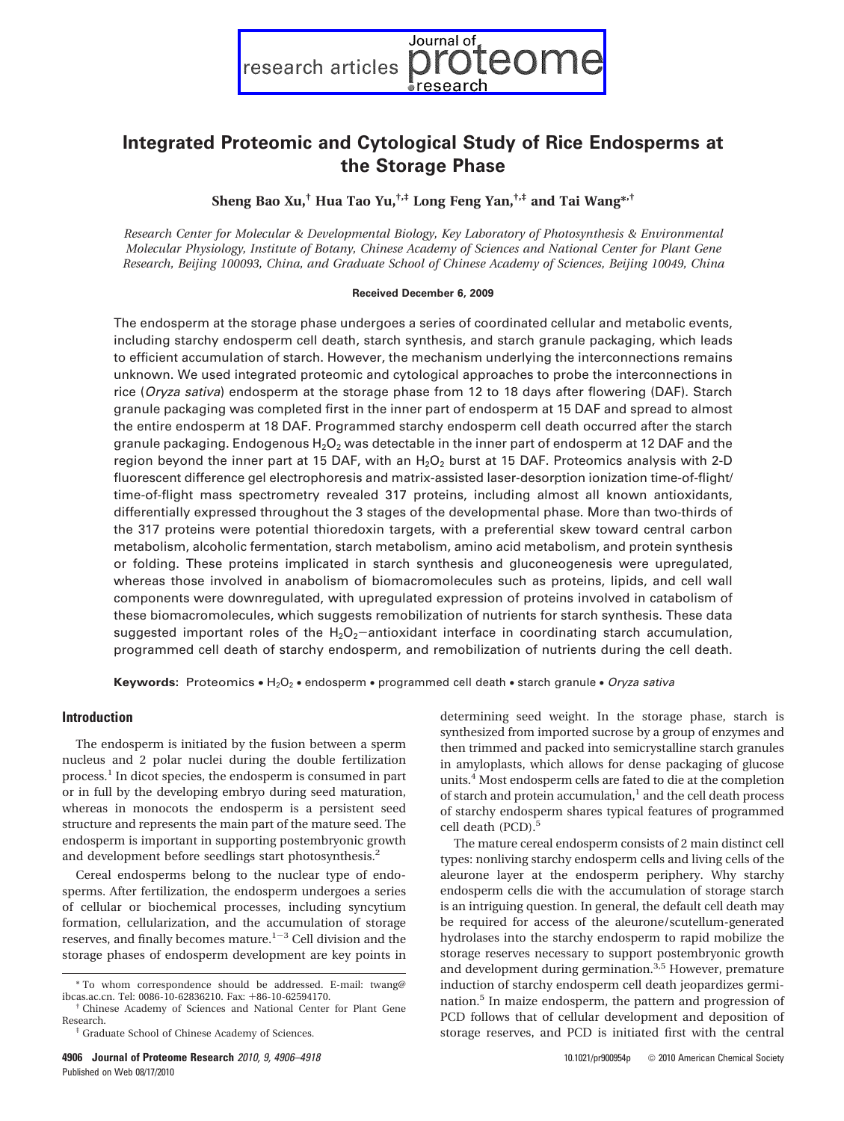Journal of eon research articles

# **Integrated Proteomic and Cytological Study of Rice Endosperms at the Storage Phase**

**Sheng Bao Xu,† Hua Tao Yu,†,‡ Long Feng Yan,†,‡ and Tai Wang\*,†**

*Research Center for Molecular & Developmental Biology, Key Laboratory of Photosynthesis & Environmental Molecular Physiology, Institute of Botany, Chinese Academy of Sciences and National Center for Plant Gene Research, Beijing 100093, China, and Graduate School of Chinese Academy of Sciences, Beijing 10049, China*

#### **Received December 6, 2009**

The endosperm at the storage phase undergoes a series of coordinated cellular and metabolic events, including starchy endosperm cell death, starch synthesis, and starch granule packaging, which leads to efficient accumulation of starch. However, the mechanism underlying the interconnections remains unknown. We used integrated proteomic and cytological approaches to probe the interconnections in rice (*Oryza sativa*) endosperm at the storage phase from 12 to 18 days after flowering (DAF). Starch granule packaging was completed first in the inner part of endosperm at 15 DAF and spread to almost the entire endosperm at 18 DAF. Programmed starchy endosperm cell death occurred after the starch granule packaging. Endogenous  $H_2O_2$  was detectable in the inner part of endosperm at 12 DAF and the region beyond the inner part at 15 DAF, with an  $H_2O_2$  burst at 15 DAF. Proteomics analysis with 2-D fluorescent difference gel electrophoresis and matrix-assisted laser-desorption ionization time-of-flight/ time-of-flight mass spectrometry revealed 317 proteins, including almost all known antioxidants, differentially expressed throughout the 3 stages of the developmental phase. More than two-thirds of the 317 proteins were potential thioredoxin targets, with a preferential skew toward central carbon metabolism, alcoholic fermentation, starch metabolism, amino acid metabolism, and protein synthesis or folding. These proteins implicated in starch synthesis and gluconeogenesis were upregulated, whereas those involved in anabolism of biomacromolecules such as proteins, lipids, and cell wall components were downregulated, with upregulated expression of proteins involved in catabolism of these biomacromolecules, which suggests remobilization of nutrients for starch synthesis. These data suggested important roles of the  $H_2O_2$ -antioxidant interface in coordinating starch accumulation, programmed cell death of starchy endosperm, and remobilization of nutrients during the cell death.

**Keywords:** Proteomics • H2O2 • endosperm • programmed cell death • starch granule • *Oryza sativa*

#### **Introduction**

The endosperm is initiated by the fusion between a sperm nucleus and 2 polar nuclei during the double fertilization process.<sup>1</sup> In dicot species, the endosperm is consumed in part or in full by the developing embryo during seed maturation, whereas in monocots the endosperm is a persistent seed structure and represents the main part of the mature seed. The endosperm is important in supporting postembryonic growth and development before seedlings start photosynthesis.<sup>2</sup>

Cereal endosperms belong to the nuclear type of endosperms. After fertilization, the endosperm undergoes a series of cellular or biochemical processes, including syncytium formation, cellularization, and the accumulation of storage reserves, and finally becomes mature.<sup>1-3</sup> Cell division and the storage phases of endosperm development are key points in determining seed weight. In the storage phase, starch is synthesized from imported sucrose by a group of enzymes and then trimmed and packed into semicrystalline starch granules in amyloplasts, which allows for dense packaging of glucose units.4 Most endosperm cells are fated to die at the completion of starch and protein accumulation, $\frac{1}{2}$  and the cell death process of starchy endosperm shares typical features of programmed cell death (PCD).<sup>5</sup>

The mature cereal endosperm consists of 2 main distinct cell types: nonliving starchy endosperm cells and living cells of the aleurone layer at the endosperm periphery. Why starchy endosperm cells die with the accumulation of storage starch is an intriguing question. In general, the default cell death may be required for access of the aleurone/scutellum-generated hydrolases into the starchy endosperm to rapid mobilize the storage reserves necessary to support postembryonic growth and development during germination.<sup>3,5</sup> However, premature induction of starchy endosperm cell death jeopardizes germination.<sup>5</sup> In maize endosperm, the pattern and progression of PCD follows that of cellular development and deposition of storage reserves, and PCD is initiated first with the central

 $*$  To whom correspondence should be addressed. E-mail: twang@ ibcas.ac.cn. Tel: 0086-10-62836210. Fax:  $+86\textrm{-}10\textrm{-}62594170$ .

<sup>&</sup>lt;sup>†</sup> Chinese Academy of Sciences and National Center for Plant Gene<br>Research.

<sup>&</sup>lt;sup>‡</sup> Graduate School of Chinese Academy of Sciences.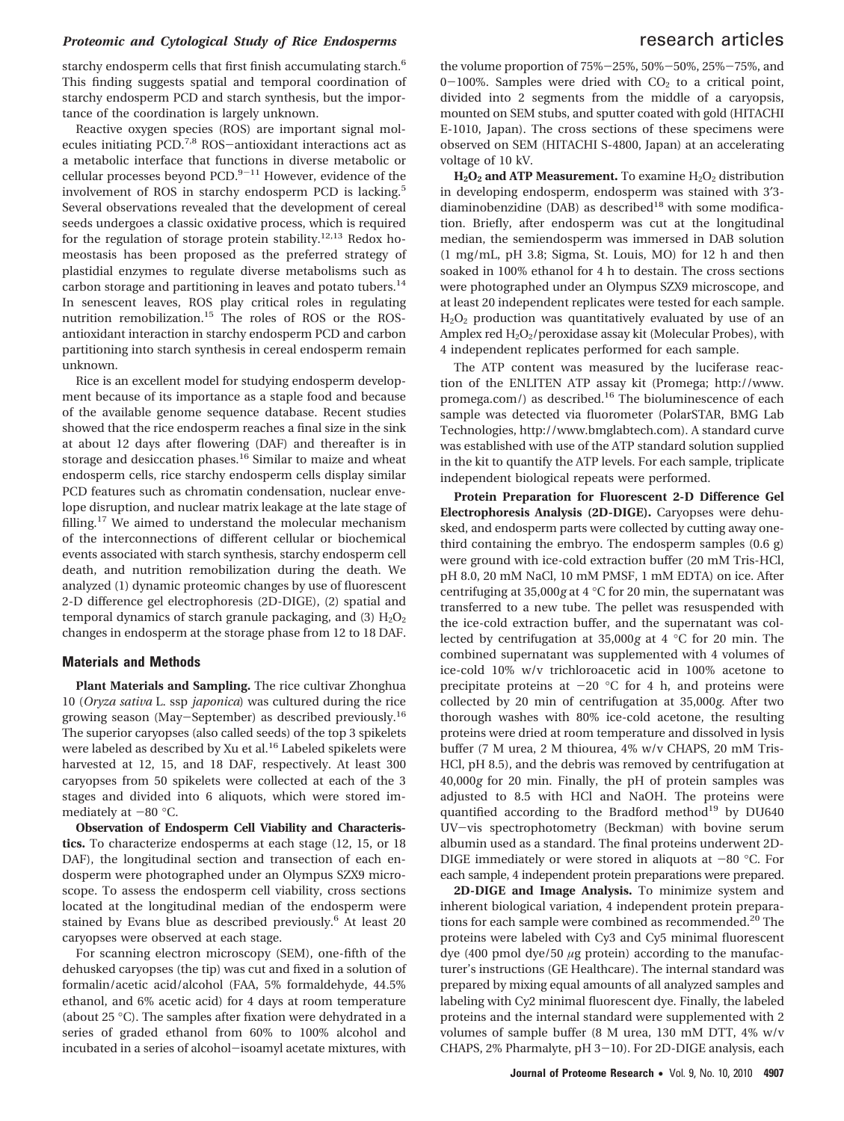### *Proteomic and Cytological Study of Rice Endosperms research articles*

starchy endosperm cells that first finish accumulating starch.<sup>6</sup> This finding suggests spatial and temporal coordination of starchy endosperm PCD and starch synthesis, but the importance of the coordination is largely unknown.

Reactive oxygen species (ROS) are important signal molecules initiating PCD.7,8 ROS-antioxidant interactions act as a metabolic interface that functions in diverse metabolic or cellular processes beyond  $PCD$ .<sup>9-11</sup> However, evidence of the involvement of ROS in starchy endosperm PCD is lacking.<sup>5</sup> Several observations revealed that the development of cereal seeds undergoes a classic oxidative process, which is required for the regulation of storage protein stability.<sup>12,13</sup> Redox homeostasis has been proposed as the preferred strategy of plastidial enzymes to regulate diverse metabolisms such as carbon storage and partitioning in leaves and potato tubers.<sup>14</sup> In senescent leaves, ROS play critical roles in regulating nutrition remobilization.<sup>15</sup> The roles of ROS or the ROSantioxidant interaction in starchy endosperm PCD and carbon partitioning into starch synthesis in cereal endosperm remain unknown.

Rice is an excellent model for studying endosperm development because of its importance as a staple food and because of the available genome sequence database. Recent studies showed that the rice endosperm reaches a final size in the sink at about 12 days after flowering (DAF) and thereafter is in storage and desiccation phases.<sup>16</sup> Similar to maize and wheat endosperm cells, rice starchy endosperm cells display similar PCD features such as chromatin condensation, nuclear envelope disruption, and nuclear matrix leakage at the late stage of filling.<sup>17</sup> We aimed to understand the molecular mechanism of the interconnections of different cellular or biochemical events associated with starch synthesis, starchy endosperm cell death, and nutrition remobilization during the death. We analyzed (1) dynamic proteomic changes by use of fluorescent 2-D difference gel electrophoresis (2D-DIGE), (2) spatial and temporal dynamics of starch granule packaging, and  $(3)$   $H<sub>2</sub>O<sub>2</sub>$ changes in endosperm at the storage phase from 12 to 18 DAF.

#### **Materials and Methods**

**Plant Materials and Sampling.** The rice cultivar Zhonghua 10 (*Oryza sativa* L. ssp *japonica*) was cultured during the rice growing season (May-September) as described previously.<sup>16</sup> The superior caryopses (also called seeds) of the top 3 spikelets were labeled as described by Xu et al.<sup>16</sup> Labeled spikelets were harvested at 12, 15, and 18 DAF, respectively. At least 300 caryopses from 50 spikelets were collected at each of the 3 stages and divided into 6 aliquots, which were stored immediately at  $-80$  °C.

**Observation of Endosperm Cell Viability and Characteristics.** To characterize endosperms at each stage (12, 15, or 18 DAF), the longitudinal section and transection of each endosperm were photographed under an Olympus SZX9 microscope. To assess the endosperm cell viability, cross sections located at the longitudinal median of the endosperm were stained by Evans blue as described previously.<sup>6</sup> At least 20 caryopses were observed at each stage.

For scanning electron microscopy (SEM), one-fifth of the dehusked caryopses (the tip) was cut and fixed in a solution of formalin/acetic acid/alcohol (FAA, 5% formaldehyde, 44.5% ethanol, and 6% acetic acid) for 4 days at room temperature (about 25 °C). The samples after fixation were dehydrated in a series of graded ethanol from 60% to 100% alcohol and incubated in a series of alcohol-isoamyl acetate mixtures, with

the volume proportion of 75%-25%, 50%-50%, 25%-75%, and  $0-100\%$ . Samples were dried with  $CO<sub>2</sub>$  to a critical point, divided into 2 segments from the middle of a caryopsis, mounted on SEM stubs, and sputter coated with gold (HITACHI E-1010, Japan). The cross sections of these specimens were observed on SEM (HITACHI S-4800, Japan) at an accelerating voltage of 10 kV.

 $H_2O_2$  **and ATP Measurement.** To examine  $H_2O_2$  distribution in developing endosperm, endosperm was stained with 3′3 diaminobenzidine (DAB) as described $18$  with some modification. Briefly, after endosperm was cut at the longitudinal median, the semiendosperm was immersed in DAB solution (1 mg/mL, pH 3.8; Sigma, St. Louis, MO) for 12 h and then soaked in 100% ethanol for 4 h to destain. The cross sections were photographed under an Olympus SZX9 microscope, and at least 20 independent replicates were tested for each sample.  $H_2O_2$  production was quantitatively evaluated by use of an Amplex red  $H_2O_2$ /peroxidase assay kit (Molecular Probes), with 4 independent replicates performed for each sample.

The ATP content was measured by the luciferase reaction of the ENLITEN ATP assay kit (Promega; http://www. promega.com/) as described.<sup>16</sup> The bioluminescence of each sample was detected via fluorometer (PolarSTAR, BMG Lab Technologies, http://www.bmglabtech.com). A standard curve was established with use of the ATP standard solution supplied in the kit to quantify the ATP levels. For each sample, triplicate independent biological repeats were performed.

**Protein Preparation for Fluorescent 2-D Difference Gel Electrophoresis Analysis (2D-DIGE).** Caryopses were dehusked, and endosperm parts were collected by cutting away onethird containing the embryo. The endosperm samples (0.6 g) were ground with ice-cold extraction buffer (20 mM Tris-HCl, pH 8.0, 20 mM NaCl, 10 mM PMSF, 1 mM EDTA) on ice. After centrifuging at 35,000*g* at 4 °C for 20 min, the supernatant was transferred to a new tube. The pellet was resuspended with the ice-cold extraction buffer, and the supernatant was collected by centrifugation at 35,000*g* at 4 °C for 20 min. The combined supernatant was supplemented with 4 volumes of ice-cold 10% w/v trichloroacetic acid in 100% acetone to precipitate proteins at  $-20$  °C for 4 h, and proteins were collected by 20 min of centrifugation at 35,000*g*. After two thorough washes with 80% ice-cold acetone, the resulting proteins were dried at room temperature and dissolved in lysis buffer (7 M urea, 2 M thiourea, 4% w/v CHAPS, 20 mM Tris-HCl, pH 8.5), and the debris was removed by centrifugation at 40,000*g* for 20 min. Finally, the pH of protein samples was adjusted to 8.5 with HCl and NaOH. The proteins were quantified according to the Bradford method<sup>19</sup> by DU640 UV-vis spectrophotometry (Beckman) with bovine serum albumin used as a standard. The final proteins underwent 2D-DIGE immediately or were stored in aliquots at  $-80$  °C. For each sample, 4 independent protein preparations were prepared.

**2D-DIGE and Image Analysis.** To minimize system and inherent biological variation, 4 independent protein preparations for each sample were combined as recommended.<sup>20</sup> The proteins were labeled with Cy3 and Cy5 minimal fluorescent dye (400 pmol dye/50 *μ*g protein) according to the manufacturer's instructions (GE Healthcare). The internal standard was prepared by mixing equal amounts of all analyzed samples and labeling with Cy2 minimal fluorescent dye. Finally, the labeled proteins and the internal standard were supplemented with 2 volumes of sample buffer (8 M urea, 130 mM DTT, 4% w/v CHAPS, 2% Pharmalyte, pH 3-10). For 2D-DIGE analysis, each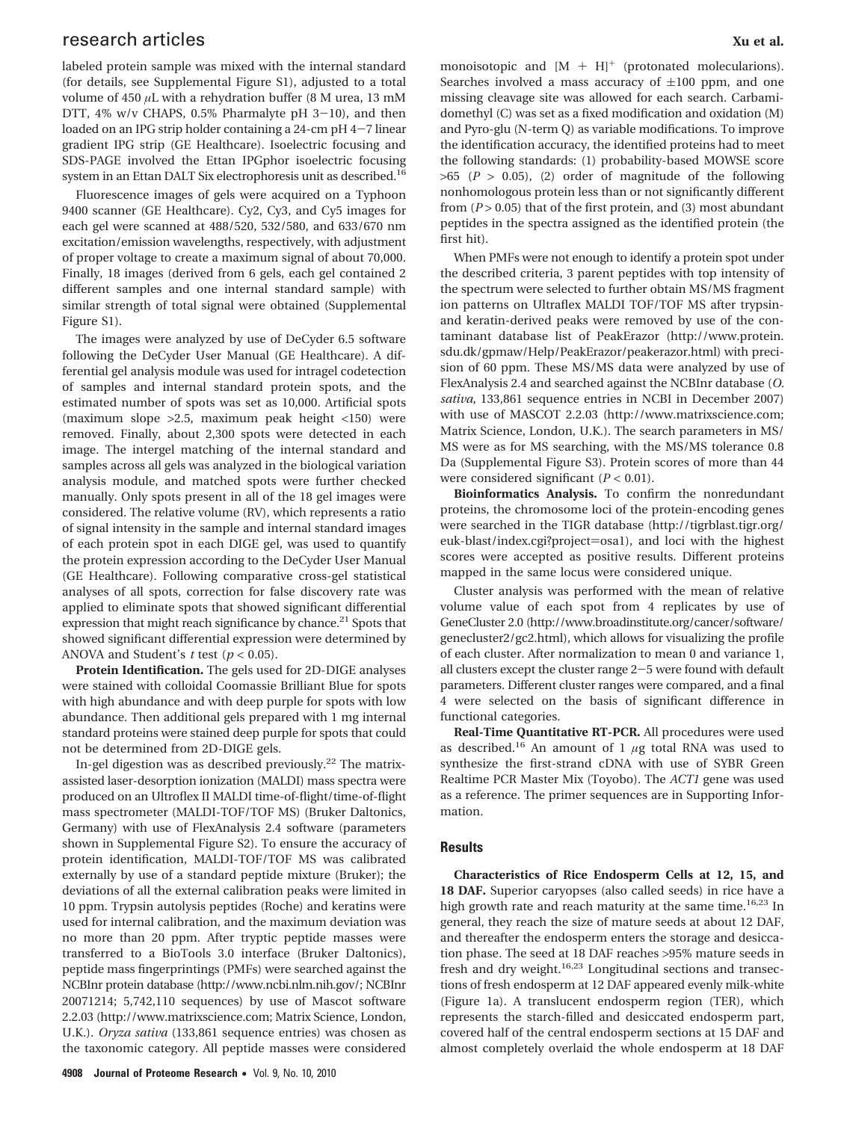## research articles **Xu et al.** The search articles **Xu et al.** The search articles **Xu et al.** The search articles **Xu et al.** The search articles **Xu et al.** The search articles **Xu et al.** The search articles **Xu et al.**

labeled protein sample was mixed with the internal standard (for details, see Supplemental Figure S1), adjusted to a total volume of 450  $\mu$ L with a rehydration buffer (8 M urea, 13 mM DTT, 4% w/v CHAPS, 0.5% Pharmalyte pH 3-10), and then loaded on an IPG strip holder containing a 24-cm pH 4-7 linear gradient IPG strip (GE Healthcare). Isoelectric focusing and SDS-PAGE involved the Ettan IPGphor isoelectric focusing system in an Ettan DALT Six electrophoresis unit as described.16

Fluorescence images of gels were acquired on a Typhoon 9400 scanner (GE Healthcare). Cy2, Cy3, and Cy5 images for each gel were scanned at 488/520, 532/580, and 633/670 nm excitation/emission wavelengths, respectively, with adjustment of proper voltage to create a maximum signal of about 70,000. Finally, 18 images (derived from 6 gels, each gel contained 2 different samples and one internal standard sample) with similar strength of total signal were obtained (Supplemental Figure S1).

The images were analyzed by use of DeCyder 6.5 software following the DeCyder User Manual (GE Healthcare). A differential gel analysis module was used for intragel codetection of samples and internal standard protein spots, and the estimated number of spots was set as 10,000. Artificial spots (maximum slope >2.5, maximum peak height <150) were removed. Finally, about 2,300 spots were detected in each image. The intergel matching of the internal standard and samples across all gels was analyzed in the biological variation analysis module, and matched spots were further checked manually. Only spots present in all of the 18 gel images were considered. The relative volume (RV), which represents a ratio of signal intensity in the sample and internal standard images of each protein spot in each DIGE gel, was used to quantify the protein expression according to the DeCyder User Manual (GE Healthcare). Following comparative cross-gel statistical analyses of all spots, correction for false discovery rate was applied to eliminate spots that showed significant differential expression that might reach significance by chance.<sup>21</sup> Spots that showed significant differential expression were determined by ANOVA and Student's *t* test (*p* < 0.05).

**Protein Identification.** The gels used for 2D-DIGE analyses were stained with colloidal Coomassie Brilliant Blue for spots with high abundance and with deep purple for spots with low abundance. Then additional gels prepared with 1 mg internal standard proteins were stained deep purple for spots that could not be determined from 2D-DIGE gels.

In-gel digestion was as described previously.<sup>22</sup> The matrixassisted laser-desorption ionization (MALDI) mass spectra were produced on an Ultroflex II MALDI time-of-flight/time-of-flight mass spectrometer (MALDI-TOF/TOF MS) (Bruker Daltonics, Germany) with use of FlexAnalysis 2.4 software (parameters shown in Supplemental Figure S2). To ensure the accuracy of protein identification, MALDI-TOF/TOF MS was calibrated externally by use of a standard peptide mixture (Bruker); the deviations of all the external calibration peaks were limited in 10 ppm. Trypsin autolysis peptides (Roche) and keratins were used for internal calibration, and the maximum deviation was no more than 20 ppm. After tryptic peptide masses were transferred to a BioTools 3.0 interface (Bruker Daltonics), peptide mass fingerprintings (PMFs) were searched against the NCBInr protein database (http://www.ncbi.nlm.nih.gov/; NCBInr 20071214; 5,742,110 sequences) by use of Mascot software 2.2.03 (http://www.matrixscience.com; Matrix Science, London, U.K.). *Oryza sativa* (133,861 sequence entries) was chosen as the taxonomic category. All peptide masses were considered monoisotopic and  $[M + H]^{+}$  (protonated molecularions). Searches involved a mass accuracy of  $\pm 100$  ppm, and one missing cleavage site was allowed for each search. Carbamidomethyl (C) was set as a fixed modification and oxidation (M) and Pyro-glu (N-term Q) as variable modifications. To improve the identification accuracy, the identified proteins had to meet the following standards: (1) probability-based MOWSE score  $>65$  ( $P > 0.05$ ), (2) order of magnitude of the following nonhomologous protein less than or not significantly different from (*P* > 0.05) that of the first protein, and (3) most abundant peptides in the spectra assigned as the identified protein (the first hit).

When PMFs were not enough to identify a protein spot under the described criteria, 3 parent peptides with top intensity of the spectrum were selected to further obtain MS/MS fragment ion patterns on Ultraflex MALDI TOF/TOF MS after trypsinand keratin-derived peaks were removed by use of the contaminant database list of PeakErazor (http://www.protein. sdu.dk/gpmaw/Help/PeakErazor/peakerazor.html) with precision of 60 ppm. These MS/MS data were analyzed by use of FlexAnalysis 2.4 and searched against the NCBInr database (*O. sativa*, 133,861 sequence entries in NCBI in December 2007) with use of MASCOT 2.2.03 (http://www.matrixscience.com; Matrix Science, London, U.K.). The search parameters in MS/ MS were as for MS searching, with the MS/MS tolerance 0.8 Da (Supplemental Figure S3). Protein scores of more than 44 were considered significant  $(P < 0.01)$ .

**Bioinformatics Analysis.** To confirm the nonredundant proteins, the chromosome loci of the protein-encoding genes were searched in the TIGR database (http://tigrblast.tigr.org/ euk-blast/index.cgi?project=osa1), and loci with the highest scores were accepted as positive results. Different proteins mapped in the same locus were considered unique.

Cluster analysis was performed with the mean of relative volume value of each spot from 4 replicates by use of GeneCluster 2.0 (http://www.broadinstitute.org/cancer/software/ genecluster2/gc2.html), which allows for visualizing the profile of each cluster. After normalization to mean 0 and variance 1, all clusters except the cluster range 2-5 were found with default parameters. Different cluster ranges were compared, and a final 4 were selected on the basis of significant difference in functional categories.

**Real-Time Quantitative RT-PCR.** All procedures were used as described.<sup>16</sup> An amount of 1  $\mu$ g total RNA was used to synthesize the first-strand cDNA with use of SYBR Green Realtime PCR Master Mix (Toyobo). The *ACT1* gene was used as a reference. The primer sequences are in Supporting Information.

#### **Results**

**Characteristics of Rice Endosperm Cells at 12, 15, and 18 DAF.** Superior caryopses (also called seeds) in rice have a high growth rate and reach maturity at the same time.<sup>16,23</sup> In general, they reach the size of mature seeds at about 12 DAF, and thereafter the endosperm enters the storage and desiccation phase. The seed at 18 DAF reaches >95% mature seeds in fresh and dry weight.<sup>16,23</sup> Longitudinal sections and transections of fresh endosperm at 12 DAF appeared evenly milk-white (Figure 1a). A translucent endosperm region (TER), which represents the starch-filled and desiccated endosperm part, covered half of the central endosperm sections at 15 DAF and almost completely overlaid the whole endosperm at 18 DAF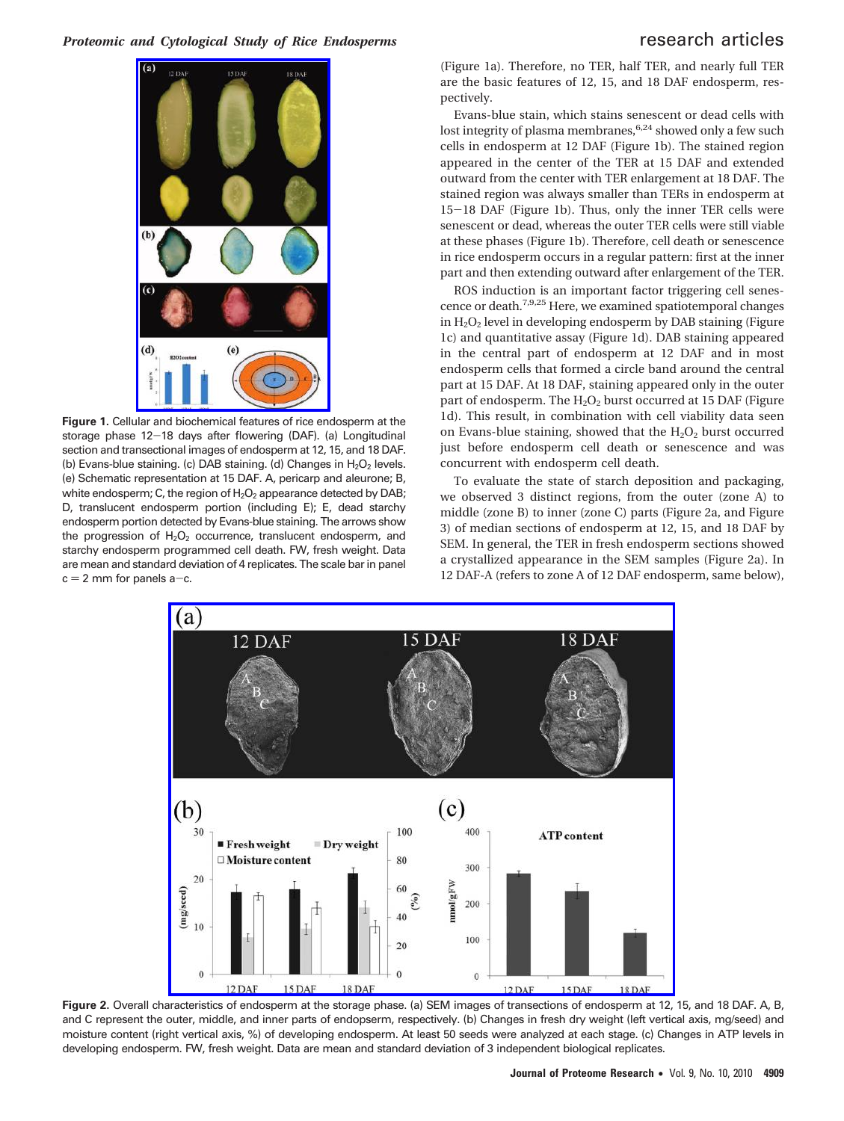

**Figure 1.** Cellular and biochemical features of rice endosperm at the storage phase 12-18 days after flowering (DAF). (a) Longitudinal section and transectional images of endosperm at 12, 15, and 18 DAF. (b) Evans-blue staining. (c) DAB staining. (d) Changes in  $H_2O_2$  levels. (e) Schematic representation at 15 DAF. A, pericarp and aleurone; B, white endosperm; C, the region of  $H_2O_2$  appearance detected by DAB; D, translucent endosperm portion (including E); E, dead starchy endosperm portion detected by Evans-blue staining. The arrows show the progression of  $H_2O_2$  occurrence, translucent endosperm, and starchy endosperm programmed cell death. FW, fresh weight. Data are mean and standard deviation of 4 replicates. The scale bar in panel  $c = 2$  mm for panels a-c.

(Figure 1a). Therefore, no TER, half TER, and nearly full TER are the basic features of 12, 15, and 18 DAF endosperm, respectively.

Evans-blue stain, which stains senescent or dead cells with lost integrity of plasma membranes,  $6,24$  showed only a few such cells in endosperm at 12 DAF (Figure 1b). The stained region appeared in the center of the TER at 15 DAF and extended outward from the center with TER enlargement at 18 DAF. The stained region was always smaller than TERs in endosperm at <sup>15</sup>-18 DAF (Figure 1b). Thus, only the inner TER cells were senescent or dead, whereas the outer TER cells were still viable at these phases (Figure 1b). Therefore, cell death or senescence in rice endosperm occurs in a regular pattern: first at the inner part and then extending outward after enlargement of the TER.

ROS induction is an important factor triggering cell senescence or death.7,9,25 Here, we examined spatiotemporal changes in H2O2 level in developing endosperm by DAB staining (Figure 1c) and quantitative assay (Figure 1d). DAB staining appeared in the central part of endosperm at 12 DAF and in most endosperm cells that formed a circle band around the central part at 15 DAF. At 18 DAF, staining appeared only in the outer part of endosperm. The  $H_2O_2$  burst occurred at 15 DAF (Figure 1d). This result, in combination with cell viability data seen on Evans-blue staining, showed that the  $H_2O_2$  burst occurred just before endosperm cell death or senescence and was concurrent with endosperm cell death.

To evaluate the state of starch deposition and packaging, we observed 3 distinct regions, from the outer (zone A) to middle (zone B) to inner (zone C) parts (Figure 2a, and Figure 3) of median sections of endosperm at 12, 15, and 18 DAF by SEM. In general, the TER in fresh endosperm sections showed a crystallized appearance in the SEM samples (Figure 2a). In 12 DAF-A (refers to zone A of 12 DAF endosperm, same below),



**Figure 2.** Overall characteristics of endosperm at the storage phase. (a) SEM images of transections of endosperm at 12, 15, and 18 DAF. A, B, and C represent the outer, middle, and inner parts of endopserm, respectively. (b) Changes in fresh dry weight (left vertical axis, mg/seed) and moisture content (right vertical axis, %) of developing endosperm. At least 50 seeds were analyzed at each stage. (c) Changes in ATP levels in developing endosperm. FW, fresh weight. Data are mean and standard deviation of 3 independent biological replicates.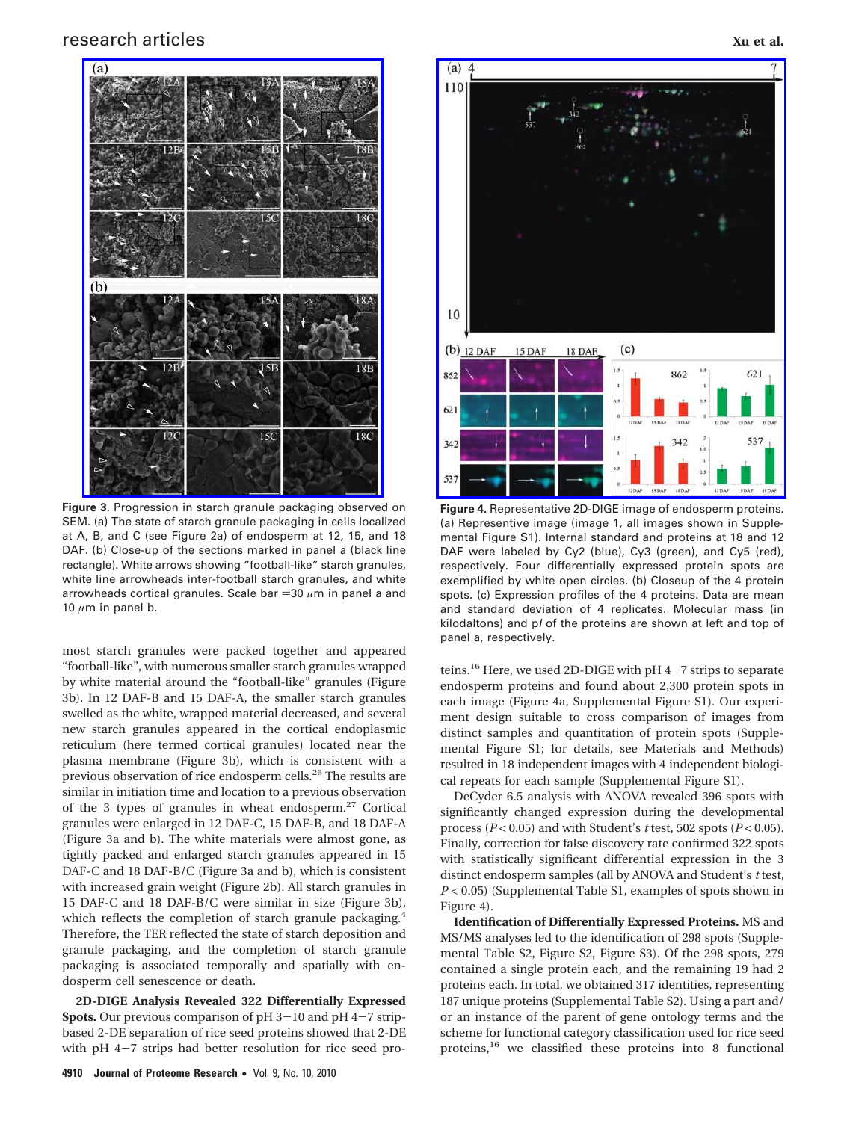## research articles **Xu et al.** The search articles **Xu et al.** The search articles **Xu et al.** The search articles **Xu et al.** The search articles **Xu et al.** The search articles **Xu et al.** The search articles **Xu et al.**



**Figure 3.** Progression in starch granule packaging observed on SEM. (a) The state of starch granule packaging in cells localized at A, B, and C (see Figure 2a) of endosperm at 12, 15, and 18 DAF. (b) Close-up of the sections marked in panel a (black line rectangle). White arrows showing "football-like" starch granules, white line arrowheads inter-football starch granules, and white arrowheads cortical granules. Scale bar =30  $\mu$ m in panel a and 10  $\mu$ m in panel b.

most starch granules were packed together and appeared "football-like", with numerous smaller starch granules wrapped by white material around the "football-like" granules (Figure 3b). In 12 DAF-B and 15 DAF-A, the smaller starch granules swelled as the white, wrapped material decreased, and several new starch granules appeared in the cortical endoplasmic reticulum (here termed cortical granules) located near the plasma membrane (Figure 3b), which is consistent with a previous observation of rice endosperm cells.<sup>26</sup> The results are similar in initiation time and location to a previous observation of the 3 types of granules in wheat endosperm. $27$  Cortical granules were enlarged in 12 DAF-C, 15 DAF-B, and 18 DAF-A (Figure 3a and b). The white materials were almost gone, as tightly packed and enlarged starch granules appeared in 15 DAF-C and 18 DAF-B/C (Figure 3a and b), which is consistent with increased grain weight (Figure 2b). All starch granules in 15 DAF-C and 18 DAF-B/C were similar in size (Figure 3b), which reflects the completion of starch granule packaging.<sup>4</sup> Therefore, the TER reflected the state of starch deposition and granule packaging, and the completion of starch granule packaging is associated temporally and spatially with endosperm cell senescence or death.

**2D-DIGE Analysis Revealed 322 Differentially Expressed Spots.** Our previous comparison of pH 3-10 and pH 4-7 stripbased 2-DE separation of rice seed proteins showed that 2-DE with pH 4-7 strips had better resolution for rice seed pro-



**Figure 4.** Representative 2D-DIGE image of endosperm proteins. (a) Representive image (image 1, all images shown in Supplemental Figure S1). Internal standard and proteins at 18 and 12 DAF were labeled by Cy2 (blue), Cy3 (green), and Cy5 (red), respectively. Four differentially expressed protein spots are exemplified by white open circles. (b) Closeup of the 4 protein spots. (c) Expression profiles of the 4 proteins. Data are mean and standard deviation of 4 replicates. Molecular mass (in kilodaltons) and p*I* of the proteins are shown at left and top of panel a, respectively.

teins.<sup>16</sup> Here, we used 2D-DIGE with pH 4-7 strips to separate endosperm proteins and found about 2,300 protein spots in each image (Figure 4a, Supplemental Figure S1). Our experiment design suitable to cross comparison of images from distinct samples and quantitation of protein spots (Supplemental Figure S1; for details, see Materials and Methods) resulted in 18 independent images with 4 independent biological repeats for each sample (Supplemental Figure S1).

DeCyder 6.5 analysis with ANOVA revealed 396 spots with significantly changed expression during the developmental process ( $P < 0.05$ ) and with Student's *t* test, 502 spots ( $P < 0.05$ ). Finally, correction for false discovery rate confirmed 322 spots with statistically significant differential expression in the 3 distinct endosperm samples (all by ANOVA and Student's *t* test, *P* < 0.05) (Supplemental Table S1, examples of spots shown in Figure 4).

**Identification of Differentially Expressed Proteins.** MS and MS/MS analyses led to the identification of 298 spots (Supplemental Table S2, Figure S2, Figure S3). Of the 298 spots, 279 contained a single protein each, and the remaining 19 had 2 proteins each. In total, we obtained 317 identities, representing 187 unique proteins (Supplemental Table S2). Using a part and/ or an instance of the parent of gene ontology terms and the scheme for functional category classification used for rice seed proteins,<sup>16</sup> we classified these proteins into 8 functional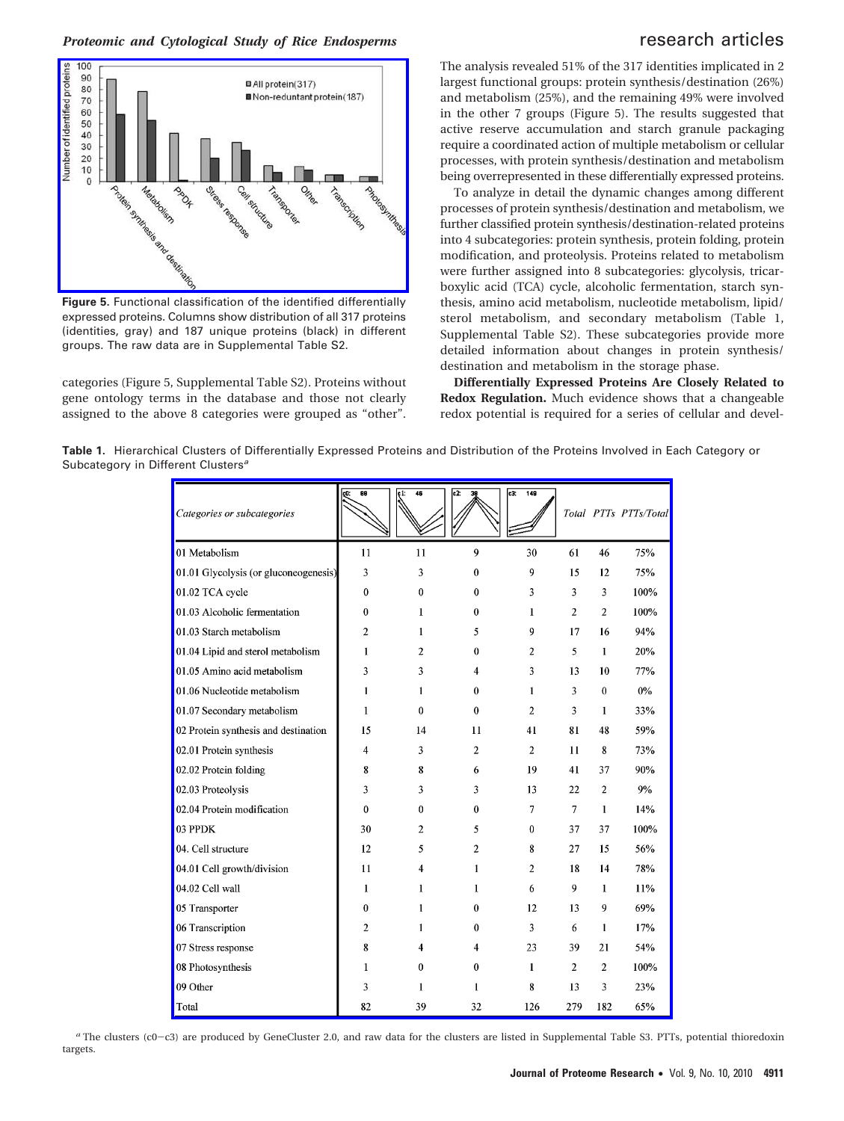### *Proteomic and Cytological Study of Rice Endosperms research articles*



**Figure 5.** Functional classification of the identified differentially expressed proteins. Columns show distribution of all 317 proteins (identities, gray) and 187 unique proteins (black) in different groups. The raw data are in Supplemental Table S2.

categories (Figure 5, Supplemental Table S2). Proteins without gene ontology terms in the database and those not clearly assigned to the above 8 categories were grouped as "other". The analysis revealed 51% of the 317 identities implicated in 2 largest functional groups: protein synthesis/destination (26%) and metabolism (25%), and the remaining 49% were involved in the other 7 groups (Figure 5). The results suggested that active reserve accumulation and starch granule packaging require a coordinated action of multiple metabolism or cellular processes, with protein synthesis/destination and metabolism being overrepresented in these differentially expressed proteins.

To analyze in detail the dynamic changes among different processes of protein synthesis/destination and metabolism, we further classified protein synthesis/destination-related proteins into 4 subcategories: protein synthesis, protein folding, protein modification, and proteolysis. Proteins related to metabolism were further assigned into 8 subcategories: glycolysis, tricarboxylic acid (TCA) cycle, alcoholic fermentation, starch synthesis, amino acid metabolism, nucleotide metabolism, lipid/ sterol metabolism, and secondary metabolism (Table 1, Supplemental Table S2). These subcategories provide more detailed information about changes in protein synthesis/ destination and metabolism in the storage phase.

**Differentially Expressed Proteins Are Closely Related to Redox Regulation.** Much evidence shows that a changeable redox potential is required for a series of cellular and devel-

**Table 1.** Hierarchical Clusters of Differentially Expressed Proteins and Distribution of the Proteins Involved in Each Category or Subcategory in Different Clusters*<sup>a</sup>*

| Categories or subcategories           | 88<br>çÜ.      | 46<br>ç1:      | e2.<br>2     | lc3:<br>149    |     |                | Total PTTs PTTs/Total |
|---------------------------------------|----------------|----------------|--------------|----------------|-----|----------------|-----------------------|
| 01 Metabolism                         | 11             | 11             | 9            | 30             | 61  | 46             | 75%                   |
| 01.01 Glycolysis (or gluconeogenesis) | 3              | 3              | $\theta$     | 9              | 15  | 12             | 75%                   |
| 01.02 TCA cycle                       | $\mathbf{0}$   | $\mathbf{0}$   | $\mathbf{0}$ | 3              | 3   | 3              | 100%                  |
| 01.03 Alcoholic fermentation          | $\bf{0}$       | 1              | $\bf{0}$     | 1              | 2   | $\overline{c}$ | 100%                  |
| 01.03 Starch metabolism               | 2              | 1              | 5            | 9              | 17  | 16             | 94%                   |
| 01.04 Lipid and sterol metabolism     | 1              | 2              | $\theta$     | 2              | 5   | 1              | 20%                   |
| 01.05 Amino acid metabolism           | 3              | 3              | 4            | 3              | 13  | 10             | 77%                   |
| 01.06 Nucleotide metabolism           | 1              | 1              | 0            | 1              | 3   | $\theta$       | 0%                    |
| 01.07 Secondary metabolism            | 1              | $\theta$       | $\theta$     | $\overline{2}$ | 3   | 1              | 33%                   |
| 02 Protein synthesis and destination  | 15             | 14             | 11           | 41             | 81  | 48             | 59%                   |
| 02.01 Protein synthesis               | 4              | 3              | 2            | 2              | 11  | 8              | 73%                   |
| 02.02 Protein folding                 | 8              | 8              | 6            | 19             | 41  | 37             | 90%                   |
| 02.03 Proteolysis                     | 3              | 3              | 3            | 13             | 22  | $\overline{2}$ | 9%                    |
| 02.04 Protein modification            | 0              | $\theta$       | $\theta$     | 7              | 7   | 1              | 14%                   |
| 03 PPDK                               | 30             | $\overline{c}$ | 5            | $\bf{0}$       | 37  | 37             | 100%                  |
| 04. Cell structure                    | 12             | 5              | 2            | 8              | 27  | 15             | 56%                   |
| 04.01 Cell growth/division            | 11             | 4              | 1            | 2              | 18  | 14             | 78%                   |
| 04.02 Cell wall                       | 1              | 1              | 1            | 6              | 9   | 1              | 11%                   |
| 05 Transporter                        | $\bf{0}$       | 1              | $\theta$     | 12             | 13  | 9              | 69%                   |
| 06 Transcription                      | $\overline{2}$ | 1              | $\theta$     | 3              | 6   | 1              | 17%                   |
| 07 Stress response                    | 8              | 4              | 4            | 23             | 39  | 21             | 54%                   |
| 08 Photosynthesis                     | 1              | 0              | $\bf{0}$     | 1              | 2   | $\overline{2}$ | 100%                  |
| 09 Other                              | 3              | 1              | 1            | 8              | 13  | 3              | 23%                   |
| Total                                 | 82             | 39             | 32           | 126            | 279 | 182            | 65%                   |

*a* The clusters (c0-c3) are produced by GeneCluster 2.0, and raw data for the clusters are listed in Supplemental Table S3. PTTs, potential thioredoxin targets.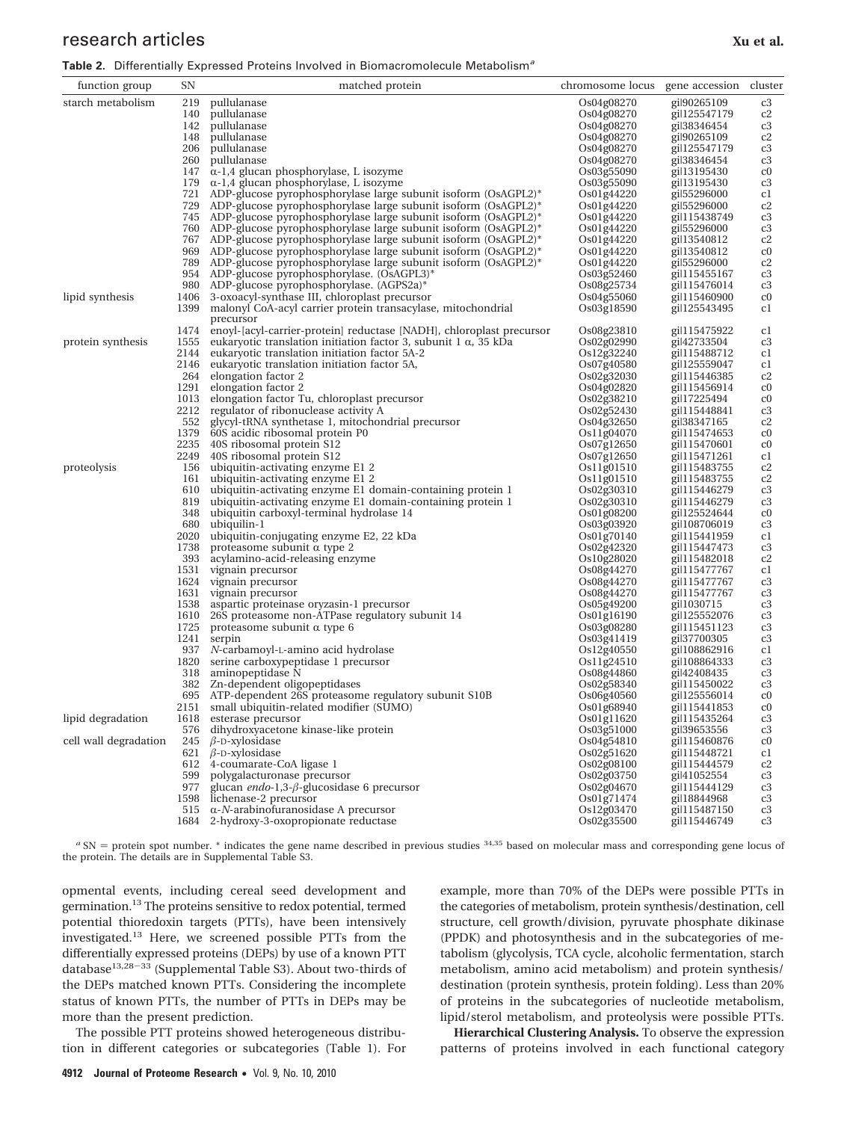## research articles **Xu et al.** The search articles **Xu et al.** The search articles **Xu et al.** The search article is the search of  $X$ u et al.

| function group        | SΝ                                                                 | matched protein                                                                                                                          | chromosome locus          | gene accession               | cluster           |
|-----------------------|--------------------------------------------------------------------|------------------------------------------------------------------------------------------------------------------------------------------|---------------------------|------------------------------|-------------------|
| starch metabolism     | 219                                                                | pullulanase                                                                                                                              | Os04g08270                | gil90265109                  | c3                |
|                       | 140                                                                | pullulanase                                                                                                                              | Os04g08270                | gil125547179                 | c2                |
|                       | 142                                                                | pullulanase                                                                                                                              | Os04g08270                | gil38346454                  | c3                |
|                       | 148                                                                | pullulanase                                                                                                                              | Os04g08270                | gil90265109                  | c2                |
|                       | 206                                                                | pullulanase                                                                                                                              | Os04g08270                | gil125547179                 | c3                |
|                       | 260                                                                | pullulanase                                                                                                                              | Os04g08270                | gil38346454                  | c3                |
|                       |                                                                    | $147$ α-1,4 glucan phosphorylase, L isozyme                                                                                              | Os03g55090                | gil13195430                  | c <sub>0</sub>    |
|                       |                                                                    | 179 $\alpha$ -1,4 glucan phosphorylase, L isozyme                                                                                        | Os03g55090                | gil13195430                  | c3                |
|                       |                                                                    | 721 ADP-glucose pyrophosphorylase large subunit isoform (OsAGPL2)*                                                                       | Os01g44220                | gil55296000                  | c1                |
|                       |                                                                    | 729 ADP-glucose pyrophosphorylase large subunit isoform (OsAGPL2)*                                                                       | Os01g44220                | gil55296000                  | c2                |
|                       |                                                                    | 745 ADP-glucose pyrophosphorylase large subunit isoform (OsAGPL2)*                                                                       | Os01g44220                | gil115438749                 | c3                |
|                       | 760 ADP-glucose pyrophosphorylase large subunit isoform (OsAGPL2)* |                                                                                                                                          | Os01g44220<br>gil55296000 |                              | c3                |
|                       |                                                                    | 767 ADP-glucose pyrophosphorylase large subunit isoform (OsAGPL2)*<br>969 ADP-glucose pyrophosphorylase large subunit isoform (OsAGPL2)* | Os01g44220                | gil13540812                  | c2                |
|                       |                                                                    | 789 ADP-glucose pyrophosphorylase large subunit isoform (OsAGPL2)*                                                                       | Os01g44220<br>Os01g44220  | gil 13540812<br>gil55296000  | $_{\rm c0}$<br>c2 |
|                       |                                                                    | 954 ADP-glucose pyrophosphorylase. (OsAGPL3)*                                                                                            | Os03g52460                | gil115455167                 | c3                |
|                       |                                                                    | 980 ADP-glucose pyrophosphorylase. (AGPS2a)*                                                                                             | Os08g25734                | gil115476014                 | c3                |
| lipid synthesis       |                                                                    | 1406 3-oxoacyl-synthase III, chloroplast precursor                                                                                       | Os04g55060                | gil115460900                 | $_{\rm c0}$       |
|                       | 1399                                                               | malonyl CoA-acyl carrier protein transacylase, mitochondrial                                                                             | Os03g18590                | gil125543495                 | c1                |
|                       |                                                                    | precursor                                                                                                                                |                           |                              |                   |
|                       |                                                                    | 1474 enoyl-[acyl-carrier-protein] reductase [NADH], chloroplast precursor                                                                | Os08g23810                | gil115475922                 | c1                |
| protein synthesis     | 1555                                                               | eukaryotic translation initiation factor 3, subunit 1 α, 35 kDa                                                                          | Os02g02990                | gil42733504                  | c3                |
|                       | 2144                                                               | eukaryotic translation initiation factor 5A-2                                                                                            | Os12g32240                | gil115488712                 | c1                |
|                       |                                                                    | 2146 eukaryotic translation initiation factor 5A,                                                                                        | Os07g40580                | gil125559047                 | c1                |
|                       |                                                                    | 264 elongation factor 2                                                                                                                  | Os02g32030                | gil115446385                 | c2                |
|                       |                                                                    | 1291 elongation factor 2                                                                                                                 | Os04g02820                | gil115456914                 | c <sub>0</sub>    |
|                       |                                                                    | 1013 elongation factor Tu, chloroplast precursor                                                                                         | Os02g38210                | gil17225494                  | $_{\rm c0}$       |
|                       |                                                                    | 2212 regulator of ribonuclease activity A                                                                                                | Os02g52430                | gil115448841                 | c3                |
|                       |                                                                    | 552 glycyl-tRNA synthetase 1, mitochondrial precursor                                                                                    | Os04g32650                | gil38347165                  | c2                |
|                       | 1379                                                               | 60S acidic ribosomal protein P0                                                                                                          | Os11g04070                | gil115474653                 | $_{\rm c0}$       |
|                       |                                                                    | 2235 40S ribosomal protein S12                                                                                                           | Os07g12650                | gil115470601                 | $_{\rm c0}$       |
|                       | 2249                                                               | 40S ribosomal protein S12                                                                                                                | Os07g12650                | gil115471261                 | c1                |
| proteolysis           | 161                                                                | 156 ubiquitin-activating enzyme E1 2<br>ubiquitin-activating enzyme E1 2                                                                 | Os11g01510<br>Os11g01510  | gil115483755<br>gil115483755 | c2<br>c2          |
|                       | 610                                                                | ubiquitin-activating enzyme E1 domain-containing protein 1                                                                               | Os02g30310                | gil115446279                 | c3                |
|                       | 819                                                                | ubiquitin-activating enzyme E1 domain-containing protein 1                                                                               | Os02g30310                | gil115446279                 | c3                |
|                       | 348                                                                | ubiquitin carboxyl-terminal hydrolase 14                                                                                                 | Os01g08200                | gil125524644                 | c <sub>0</sub>    |
|                       | 680                                                                | ubiquilin-1                                                                                                                              | Os03g03920                | gil108706019                 | c3                |
|                       | 2020                                                               | ubiquitin-conjugating enzyme E2, 22 kDa                                                                                                  | Os01g70140                | gil115441959                 | c1                |
|                       | 1738                                                               | proteasome subunit α type 2                                                                                                              | Os02g42320                | gil115447473                 | c3                |
|                       | 393                                                                | acylamino-acid-releasing enzyme                                                                                                          | Os10g28020                | gil115482018                 | c2                |
|                       |                                                                    | 1531 vignain precursor                                                                                                                   | Os08g44270                | gil115477767                 | c1                |
|                       |                                                                    | 1624 vignain precursor                                                                                                                   | Os08g44270                | gil115477767                 | c3                |
|                       |                                                                    | 1631 vignain precursor                                                                                                                   | Os08g44270                | gil115477767                 | c3                |
|                       | 1538                                                               | aspartic proteinase oryzasin-1 precursor                                                                                                 | Os05g49200                | gil1030715                   | c3                |
|                       |                                                                    | 1610 26S proteasome non-ATPase regulatory subunit 14                                                                                     | Os01g16190                | gil125552076                 | c3                |
|                       | 1725                                                               | proteasome subunit α type 6                                                                                                              | Os03g08280                | gil115451123                 | c3                |
|                       |                                                                    | 1241 serpin                                                                                                                              | Os03g41419                | gil37700305                  | c3                |
|                       |                                                                    | 937 N-carbamoyl-L-amino acid hydrolase                                                                                                   | Os12g40550<br>Os11g24510  | gil108862916                 | c1                |
|                       |                                                                    | 1820 serine carboxypeptidase 1 precursor<br>318 aminopeptidase N                                                                         | Os08g44860                | gil108864333<br>gil42408435  | c3<br>c3          |
|                       | 382                                                                | Zn-dependent oligopeptidases                                                                                                             | Os02g58340                | gil115450022                 | c3                |
|                       |                                                                    | 695 ATP-dependent 26S proteasome regulatory subunit S10B                                                                                 | Os06g40560                | gil125556014                 | c <sub>0</sub>    |
|                       |                                                                    | 2151 small ubiquitin-related modifier (SUMO)                                                                                             | Os01g68940                | gil115441853                 | c <sub>0</sub>    |
| lipid degradation     |                                                                    | 1618 esterase precursor                                                                                                                  | Os01g11620                | gil115435264                 | c3                |
|                       |                                                                    | 576 dihydroxyacetone kinase-like protein                                                                                                 | Os03g51000                | gil39653556                  | c3                |
| cell wall degradation |                                                                    | 245 $\beta$ -D-xylosidase                                                                                                                | Os04g54810                | gil115460876                 | c <sub>0</sub>    |
|                       |                                                                    | 621 $\beta$ -D-xylosidase                                                                                                                | Os02g51620                | gil115448721                 | c1                |
|                       |                                                                    | 612 4-coumarate-CoA ligase 1                                                                                                             | Os02g08100                | gil115444579                 | c <sub>2</sub>    |
|                       |                                                                    | 599 polygalacturonase precursor                                                                                                          | Os02g03750                | gil41052554                  | c3                |
|                       |                                                                    | 977 glucan endo-1,3- $\beta$ -glucosidase 6 precursor                                                                                    | Os02g04670                | gil115444129                 | c3                |
|                       |                                                                    | 1598 lichenase-2 precursor                                                                                                               | Os01g71474                | gil18844968                  | c3                |
|                       |                                                                    | 515 $\alpha$ - <i>N</i> -arabinofuranosidase A precursor                                                                                 | Os12g03470                | gil115487150                 | c3                |
|                       |                                                                    | 1684 2-hydroxy-3-oxopropionate reductase                                                                                                 | Os02g35500                | gil115446749                 | c3                |

 $a$  SN = protein spot number. \* indicates the gene name described in previous studies  $34,35$  based on molecular mass and corresponding gene locus of the protein. The details are in Supplemental Table S3.

opmental events, including cereal seed development and germination.13 The proteins sensitive to redox potential, termed potential thioredoxin targets (PTTs), have been intensively investigated.<sup>13</sup> Here, we screened possible PTTs from the differentially expressed proteins (DEPs) by use of a known PTT database<sup>13,28-33</sup> (Supplemental Table S3). About two-thirds of the DEPs matched known PTTs. Considering the incomplete status of known PTTs, the number of PTTs in DEPs may be more than the present prediction.

The possible PTT proteins showed heterogeneous distribution in different categories or subcategories (Table 1). For example, more than 70% of the DEPs were possible PTTs in the categories of metabolism, protein synthesis/destination, cell structure, cell growth/division, pyruvate phosphate dikinase (PPDK) and photosynthesis and in the subcategories of metabolism (glycolysis, TCA cycle, alcoholic fermentation, starch metabolism, amino acid metabolism) and protein synthesis/ destination (protein synthesis, protein folding). Less than 20% of proteins in the subcategories of nucleotide metabolism, lipid/sterol metabolism, and proteolysis were possible PTTs.

**Hierarchical Clustering Analysis.** To observe the expression patterns of proteins involved in each functional category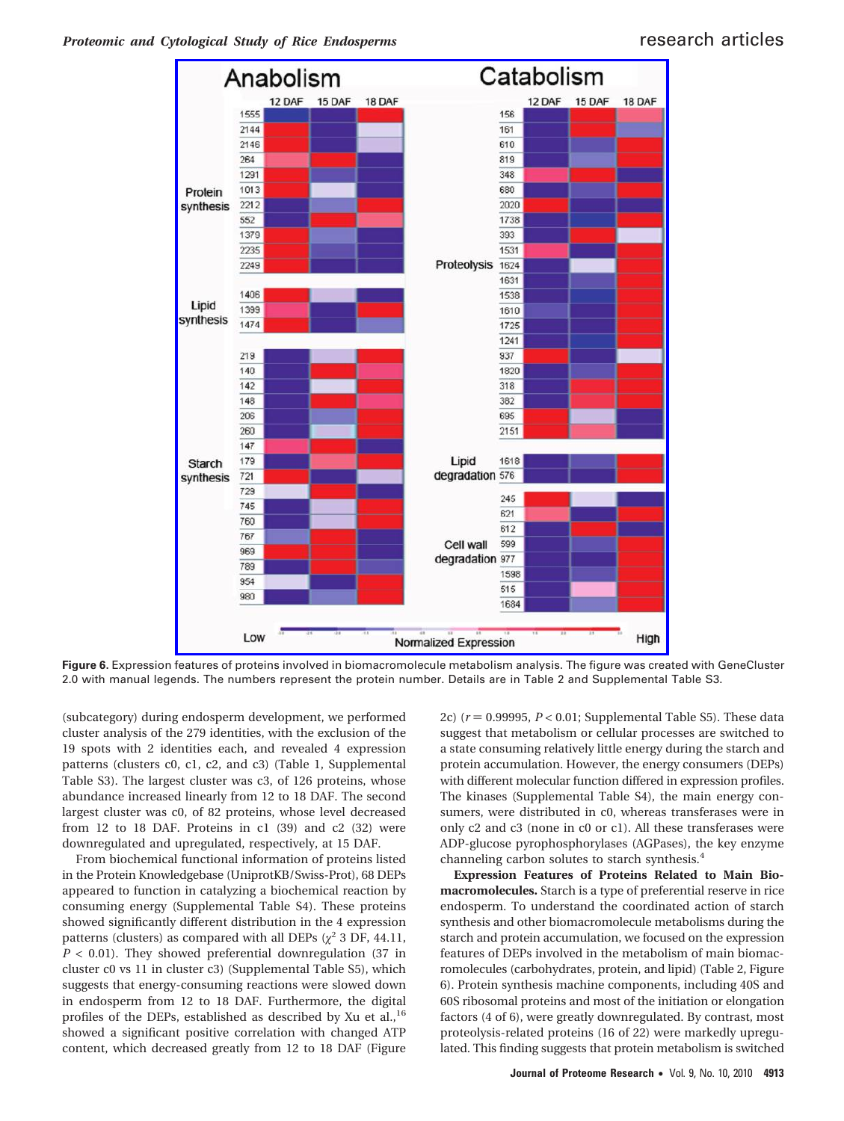

**Figure 6.** Expression features of proteins involved in biomacromolecule metabolism analysis. The figure was created with GeneCluster 2.0 with manual legends. The numbers represent the protein number. Details are in Table 2 and Supplemental Table S3.

(subcategory) during endosperm development, we performed cluster analysis of the 279 identities, with the exclusion of the 19 spots with 2 identities each, and revealed 4 expression patterns (clusters c0, c1, c2, and c3) (Table 1, Supplemental Table S3). The largest cluster was c3, of 126 proteins, whose abundance increased linearly from 12 to 18 DAF. The second largest cluster was c0, of 82 proteins, whose level decreased from 12 to 18 DAF. Proteins in c1 (39) and c2 (32) were downregulated and upregulated, respectively, at 15 DAF.

From biochemical functional information of proteins listed in the Protein Knowledgebase (UniprotKB/Swiss-Prot), 68 DEPs appeared to function in catalyzing a biochemical reaction by consuming energy (Supplemental Table S4). These proteins showed significantly different distribution in the 4 expression patterns (clusters) as compared with all DEPs  $(\chi^2 3 \text{ DF}, 44.11,$ *P* < 0.01). They showed preferential downregulation (37 in cluster c0 vs 11 in cluster c3) (Supplemental Table S5), which suggests that energy-consuming reactions were slowed down in endosperm from 12 to 18 DAF. Furthermore, the digital profiles of the DEPs, established as described by Xu et al.,<sup>16</sup> showed a significant positive correlation with changed ATP content, which decreased greatly from 12 to 18 DAF (Figure 2c)  $(r = 0.99995, P < 0.01$ ; Supplemental Table S5). These data suggest that metabolism or cellular processes are switched to a state consuming relatively little energy during the starch and protein accumulation. However, the energy consumers (DEPs) with different molecular function differed in expression profiles. The kinases (Supplemental Table S4), the main energy consumers, were distributed in c0, whereas transferases were in only c2 and c3 (none in c0 or c1). All these transferases were ADP-glucose pyrophosphorylases (AGPases), the key enzyme channeling carbon solutes to starch synthesis.<sup>4</sup>

**Expression Features of Proteins Related to Main Biomacromolecules.** Starch is a type of preferential reserve in rice endosperm. To understand the coordinated action of starch synthesis and other biomacromolecule metabolisms during the starch and protein accumulation, we focused on the expression features of DEPs involved in the metabolism of main biomacromolecules (carbohydrates, protein, and lipid) (Table 2, Figure 6). Protein synthesis machine components, including 40S and 60S ribosomal proteins and most of the initiation or elongation factors (4 of 6), were greatly downregulated. By contrast, most proteolysis-related proteins (16 of 22) were markedly upregulated. This finding suggests that protein metabolism is switched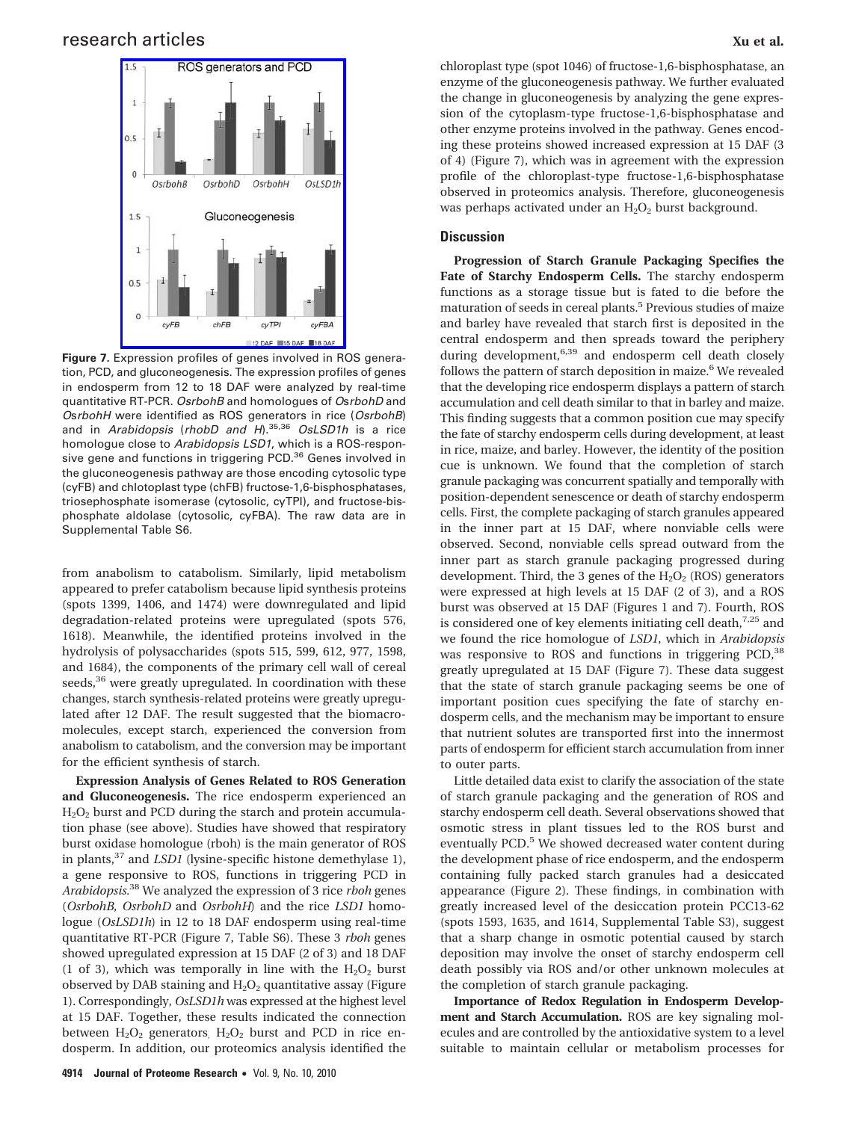### research articles **Xu et al.** The search articles **Xu et al.** The search articles **Xu et al.** The search articles **Xu et al.** The search articles **Xu et al.** The search articles **Xu et al.** The search articles **Xu et al.**



**Figure 7.** Expression profiles of genes involved in ROS generation, PCD, and gluconeogenesis. The expression profiles of genes in endosperm from 12 to 18 DAF were analyzed by real-time quantitative RT-PCR. *OsrbohB* and homologues of *O*s*rbohD* and *O*s*rbohH* were identified as ROS generators in rice (*OsrbohB*) and in *Arabidopsis* (*rhobD and H*).35,36 *OsLSD1h* is a rice homologue close to *Arabidopsis LSD1*, which is a ROS-responsive gene and functions in triggering PCD.<sup>36</sup> Genes involved in the gluconeogenesis pathway are those encoding cytosolic type (cyFB) and chlotoplast type (chFB) fructose-1,6-bisphosphatases, triosephosphate isomerase (cytosolic, cyTPI), and fructose-bisphosphate aldolase (cytosolic, cyFBA). The raw data are in Supplemental Table S6.

from anabolism to catabolism. Similarly, lipid metabolism appeared to prefer catabolism because lipid synthesis proteins (spots 1399, 1406, and 1474) were downregulated and lipid degradation-related proteins were upregulated (spots 576, 1618). Meanwhile, the identified proteins involved in the hydrolysis of polysaccharides (spots 515, 599, 612, 977, 1598, and 1684), the components of the primary cell wall of cereal seeds,<sup>36</sup> were greatly upregulated. In coordination with these changes, starch synthesis-related proteins were greatly upregulated after 12 DAF. The result suggested that the biomacromolecules, except starch, experienced the conversion from anabolism to catabolism, and the conversion may be important for the efficient synthesis of starch.

**Expression Analysis of Genes Related to ROS Generation and Gluconeogenesis.** The rice endosperm experienced an  $H<sub>2</sub>O<sub>2</sub>$  burst and PCD during the starch and protein accumulation phase (see above). Studies have showed that respiratory burst oxidase homologue (rboh) is the main generator of ROS in plants,<sup>37</sup> and *LSD1* (lysine-specific histone demethylase 1), a gene responsive to ROS, functions in triggering PCD in *Arabidopsis*. <sup>38</sup> We analyzed the expression of 3 rice *rboh* genes (*OsrbohB*, *OsrbohD* and *OsrbohH*) and the rice *LSD1* homologue (*OsLSD1h*) in 12 to 18 DAF endosperm using real-time quantitative RT-PCR (Figure 7, Table S6). These 3 *rboh* genes showed upregulated expression at 15 DAF (2 of 3) and 18 DAF (1 of 3), which was temporally in line with the  $H_2O_2$  burst observed by DAB staining and  $H_2O_2$  quantitative assay (Figure 1). Correspondingly, *OsLSD1h* was expressed at the highest level at 15 DAF. Together, these results indicated the connection between  $H_2O_2$  generators,  $H_2O_2$  burst and PCD in rice endosperm. In addition, our proteomics analysis identified the chloroplast type (spot 1046) of fructose-1,6-bisphosphatase, an enzyme of the gluconeogenesis pathway. We further evaluated the change in gluconeogenesis by analyzing the gene expression of the cytoplasm-type fructose-1,6-bisphosphatase and other enzyme proteins involved in the pathway. Genes encoding these proteins showed increased expression at 15 DAF (3 of 4) (Figure 7), which was in agreement with the expression profile of the chloroplast-type fructose-1,6-bisphosphatase observed in proteomics analysis. Therefore, gluconeogenesis was perhaps activated under an  $H_2O_2$  burst background.

#### **Discussion**

**Progression of Starch Granule Packaging Specifies the Fate of Starchy Endosperm Cells.** The starchy endosperm functions as a storage tissue but is fated to die before the maturation of seeds in cereal plants.5 Previous studies of maize and barley have revealed that starch first is deposited in the central endosperm and then spreads toward the periphery during development, $6,39$  and endosperm cell death closely follows the pattern of starch deposition in maize.<sup>6</sup> We revealed that the developing rice endosperm displays a pattern of starch accumulation and cell death similar to that in barley and maize. This finding suggests that a common position cue may specify the fate of starchy endosperm cells during development, at least in rice, maize, and barley. However, the identity of the position cue is unknown. We found that the completion of starch granule packaging was concurrent spatially and temporally with position-dependent senescence or death of starchy endosperm cells. First, the complete packaging of starch granules appeared in the inner part at 15 DAF, where nonviable cells were observed. Second, nonviable cells spread outward from the inner part as starch granule packaging progressed during development. Third, the 3 genes of the  $H_2O_2$  (ROS) generators were expressed at high levels at 15 DAF (2 of 3), and a ROS burst was observed at 15 DAF (Figures 1 and 7). Fourth, ROS is considered one of key elements initiating cell death, $7.25$  and we found the rice homologue of *LSD1*, which in *Arabidopsis* was responsive to ROS and functions in triggering PCD,<sup>38</sup> greatly upregulated at 15 DAF (Figure 7). These data suggest that the state of starch granule packaging seems be one of important position cues specifying the fate of starchy endosperm cells, and the mechanism may be important to ensure that nutrient solutes are transported first into the innermost parts of endosperm for efficient starch accumulation from inner to outer parts.

Little detailed data exist to clarify the association of the state of starch granule packaging and the generation of ROS and starchy endosperm cell death. Several observations showed that osmotic stress in plant tissues led to the ROS burst and eventually PCD.<sup>5</sup> We showed decreased water content during the development phase of rice endosperm, and the endosperm containing fully packed starch granules had a desiccated appearance (Figure 2). These findings, in combination with greatly increased level of the desiccation protein PCC13-62 (spots 1593, 1635, and 1614, Supplemental Table S3), suggest that a sharp change in osmotic potential caused by starch deposition may involve the onset of starchy endosperm cell death possibly via ROS and/or other unknown molecules at the completion of starch granule packaging.

**Importance of Redox Regulation in Endosperm Development and Starch Accumulation.** ROS are key signaling molecules and are controlled by the antioxidative system to a level suitable to maintain cellular or metabolism processes for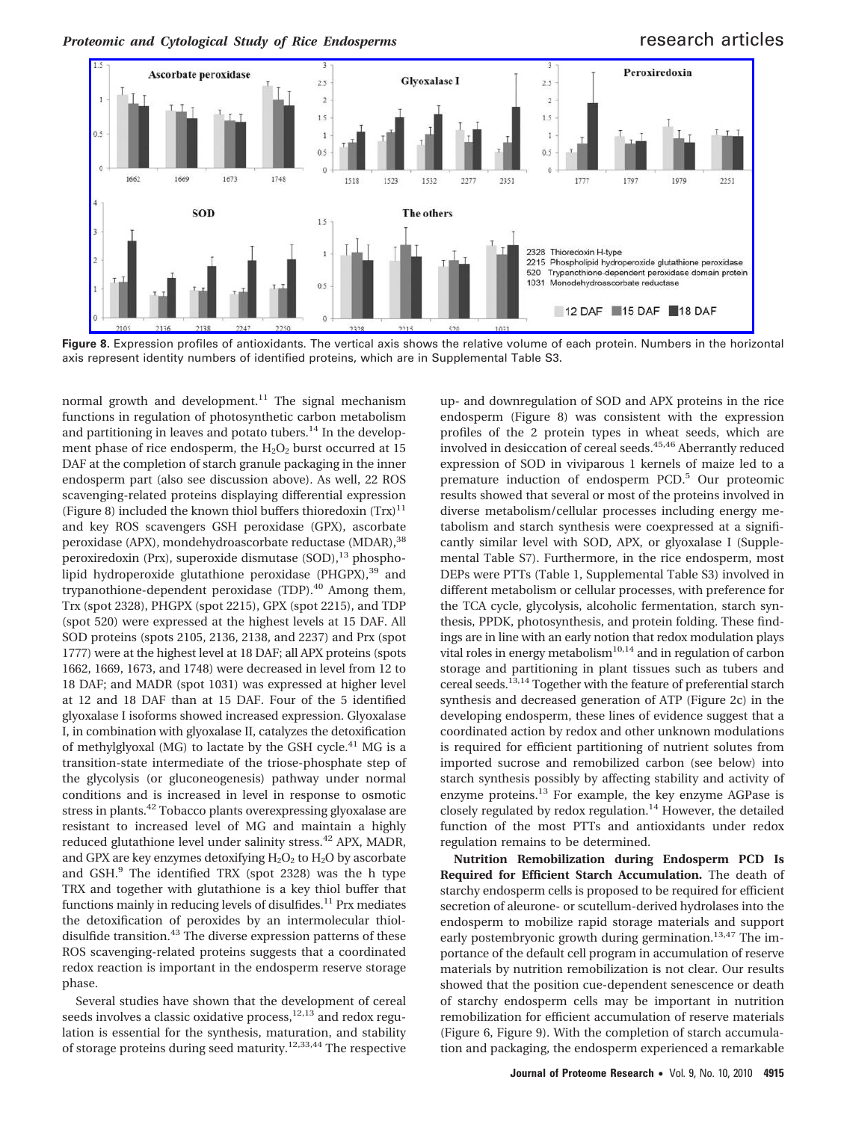

**Figure 8.** Expression profiles of antioxidants. The vertical axis shows the relative volume of each protein. Numbers in the horizontal axis represent identity numbers of identified proteins, which are in Supplemental Table S3.

normal growth and development. $11$  The signal mechanism functions in regulation of photosynthetic carbon metabolism and partitioning in leaves and potato tubers. $14$  In the development phase of rice endosperm, the  $H_2O_2$  burst occurred at 15 DAF at the completion of starch granule packaging in the inner endosperm part (also see discussion above). As well, 22 ROS scavenging-related proteins displaying differential expression (Figure 8) included the known thiol buffers thioredoxin  $(Trx)^{11}$ and key ROS scavengers GSH peroxidase (GPX), ascorbate peroxidase (APX), mondehydroascorbate reductase (MDAR),<sup>38</sup> peroxiredoxin (Prx), superoxide dismutase (SOD),<sup>13</sup> phospholipid hydroperoxide glutathione peroxidase (PHGPX),<sup>39</sup> and trypanothione-dependent peroxidase (TDP).<sup>40</sup> Among them, Trx (spot 2328), PHGPX (spot 2215), GPX (spot 2215), and TDP (spot 520) were expressed at the highest levels at 15 DAF. All SOD proteins (spots 2105, 2136, 2138, and 2237) and Prx (spot 1777) were at the highest level at 18 DAF; all APX proteins (spots 1662, 1669, 1673, and 1748) were decreased in level from 12 to 18 DAF; and MADR (spot 1031) was expressed at higher level at 12 and 18 DAF than at 15 DAF. Four of the 5 identified glyoxalase I isoforms showed increased expression. Glyoxalase I, in combination with glyoxalase II, catalyzes the detoxification of methylglyoxal (MG) to lactate by the GSH cycle.<sup>41</sup> MG is a transition-state intermediate of the triose-phosphate step of the glycolysis (or gluconeogenesis) pathway under normal conditions and is increased in level in response to osmotic stress in plants.42 Tobacco plants overexpressing glyoxalase are resistant to increased level of MG and maintain a highly reduced glutathione level under salinity stress.<sup>42</sup> APX, MADR, and GPX are key enzymes detoxifying  $H_2O_2$  to  $H_2O$  by ascorbate and GSH.<sup>9</sup> The identified TRX (spot 2328) was the h type TRX and together with glutathione is a key thiol buffer that functions mainly in reducing levels of disulfides.<sup>11</sup> Prx mediates the detoxification of peroxides by an intermolecular thioldisulfide transition.<sup>43</sup> The diverse expression patterns of these ROS scavenging-related proteins suggests that a coordinated redox reaction is important in the endosperm reserve storage phase.

Several studies have shown that the development of cereal seeds involves a classic oxidative process,<sup>12,13</sup> and redox regulation is essential for the synthesis, maturation, and stability of storage proteins during seed maturity.12,33,44 The respective up- and downregulation of SOD and APX proteins in the rice endosperm (Figure 8) was consistent with the expression profiles of the 2 protein types in wheat seeds, which are involved in desiccation of cereal seeds.<sup>45,46</sup> Aberrantly reduced expression of SOD in viviparous 1 kernels of maize led to a premature induction of endosperm PCD.<sup>5</sup> Our proteomic results showed that several or most of the proteins involved in diverse metabolism/cellular processes including energy metabolism and starch synthesis were coexpressed at a significantly similar level with SOD, APX, or glyoxalase I (Supplemental Table S7). Furthermore, in the rice endosperm, most DEPs were PTTs (Table 1, Supplemental Table S3) involved in different metabolism or cellular processes, with preference for the TCA cycle, glycolysis, alcoholic fermentation, starch synthesis, PPDK, photosynthesis, and protein folding. These findings are in line with an early notion that redox modulation plays vital roles in energy metabolism<sup>10,14</sup> and in regulation of carbon storage and partitioning in plant tissues such as tubers and cereal seeds.13,14 Together with the feature of preferential starch synthesis and decreased generation of ATP (Figure 2c) in the developing endosperm, these lines of evidence suggest that a coordinated action by redox and other unknown modulations is required for efficient partitioning of nutrient solutes from imported sucrose and remobilized carbon (see below) into starch synthesis possibly by affecting stability and activity of enzyme proteins.<sup>13</sup> For example, the key enzyme AGPase is closely regulated by redox regulation. $14$  However, the detailed function of the most PTTs and antioxidants under redox regulation remains to be determined.

**Nutrition Remobilization during Endosperm PCD Is Required for Efficient Starch Accumulation.** The death of starchy endosperm cells is proposed to be required for efficient secretion of aleurone- or scutellum-derived hydrolases into the endosperm to mobilize rapid storage materials and support early postembryonic growth during germination.<sup>13,47</sup> The importance of the default cell program in accumulation of reserve materials by nutrition remobilization is not clear. Our results showed that the position cue-dependent senescence or death of starchy endosperm cells may be important in nutrition remobilization for efficient accumulation of reserve materials (Figure 6, Figure 9). With the completion of starch accumulation and packaging, the endosperm experienced a remarkable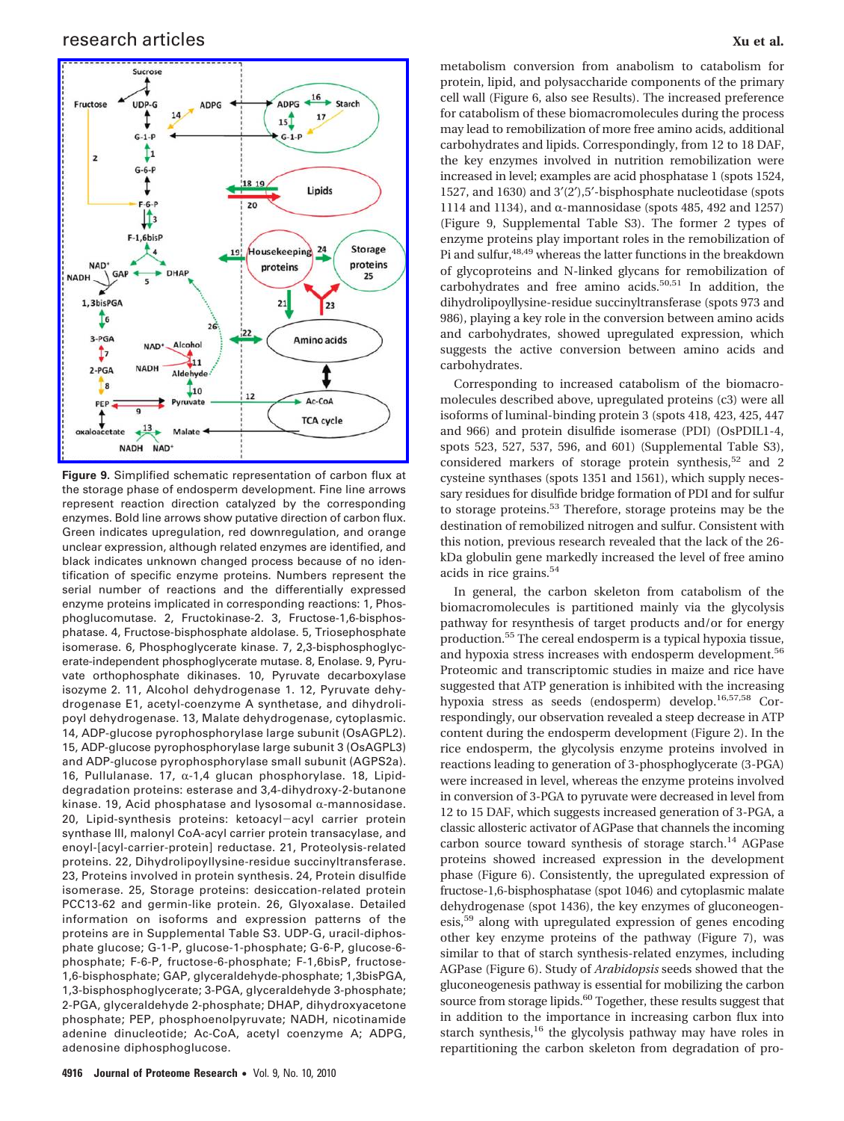

**Figure 9.** Simplified schematic representation of carbon flux at the storage phase of endosperm development. Fine line arrows represent reaction direction catalyzed by the corresponding enzymes. Bold line arrows show putative direction of carbon flux. Green indicates upregulation, red downregulation, and orange unclear expression, although related enzymes are identified, and black indicates unknown changed process because of no identification of specific enzyme proteins. Numbers represent the serial number of reactions and the differentially expressed enzyme proteins implicated in corresponding reactions: 1, Phosphoglucomutase. 2, Fructokinase-2. 3, Fructose-1,6-bisphosphatase. 4, Fructose-bisphosphate aldolase. 5, Triosephosphate isomerase. 6, Phosphoglycerate kinase. 7, 2,3-bisphosphoglycerate-independent phosphoglycerate mutase. 8, Enolase. 9, Pyruvate orthophosphate dikinases. 10, Pyruvate decarboxylase isozyme 2. 11, Alcohol dehydrogenase 1. 12, Pyruvate dehydrogenase E1, acetyl-coenzyme A synthetase, and dihydrolipoyl dehydrogenase. 13, Malate dehydrogenase, cytoplasmic. 14, ADP-glucose pyrophosphorylase large subunit (OsAGPL2). 15, ADP-glucose pyrophosphorylase large subunit 3 (OsAGPL3) and ADP-glucose pyrophosphorylase small subunit (AGPS2a). 16, Pullulanase. 17,  $\alpha$ -1,4 glucan phosphorylase. 18, Lipiddegradation proteins: esterase and 3,4-dihydroxy-2-butanone kinase. 19, Acid phosphatase and lysosomal  $\alpha$ -mannosidase. 20, Lipid-synthesis proteins: ketoacyl-acyl carrier protein synthase III, malonyl CoA-acyl carrier protein transacylase, and enoyl-[acyl-carrier-protein] reductase. 21, Proteolysis-related proteins. 22, Dihydrolipoyllysine-residue succinyltransferase. 23, Proteins involved in protein synthesis. 24, Protein disulfide isomerase. 25, Storage proteins: desiccation-related protein PCC13-62 and germin-like protein. 26, Glyoxalase. Detailed information on isoforms and expression patterns of the proteins are in Supplemental Table S3. UDP-G, uracil-diphosphate glucose; G-1-P, glucose-1-phosphate; G-6-P, glucose-6 phosphate; F-6-P, fructose-6-phosphate; F-1,6bisP, fructose-1,6-bisphosphate; GAP, glyceraldehyde-phosphate; 1,3bisPGA, 1,3-bisphosphoglycerate; 3-PGA, glyceraldehyde 3-phosphate; 2-PGA, glyceraldehyde 2-phosphate; DHAP, dihydroxyacetone phosphate; PEP, phosphoenolpyruvate; NADH, nicotinamide adenine dinucleotide; Ac-CoA, acetyl coenzyme A; ADPG, adenosine diphosphoglucose.

metabolism conversion from anabolism to catabolism for protein, lipid, and polysaccharide components of the primary cell wall (Figure 6, also see Results). The increased preference for catabolism of these biomacromolecules during the process may lead to remobilization of more free amino acids, additional carbohydrates and lipids. Correspondingly, from 12 to 18 DAF, the key enzymes involved in nutrition remobilization were increased in level; examples are acid phosphatase 1 (spots 1524, 1527, and 1630) and 3′(2′),5′-bisphosphate nucleotidase (spots 1114 and 1134), and  $\alpha$ -mannosidase (spots 485, 492 and 1257) (Figure 9, Supplemental Table S3). The former 2 types of enzyme proteins play important roles in the remobilization of Pi and sulfur,48,49 whereas the latter functions in the breakdown of glycoproteins and N-linked glycans for remobilization of carbohydrates and free amino acids. $50,51$  In addition, the dihydrolipoyllysine-residue succinyltransferase (spots 973 and 986), playing a key role in the conversion between amino acids and carbohydrates, showed upregulated expression, which suggests the active conversion between amino acids and carbohydrates.

Corresponding to increased catabolism of the biomacromolecules described above, upregulated proteins (c3) were all isoforms of luminal-binding protein 3 (spots 418, 423, 425, 447 and 966) and protein disulfide isomerase (PDI) (OsPDIL1-4, spots 523, 527, 537, 596, and 601) (Supplemental Table S3), considered markers of storage protein synthesis,<sup>52</sup> and 2 cysteine synthases (spots 1351 and 1561), which supply necessary residues for disulfide bridge formation of PDI and for sulfur to storage proteins.<sup>53</sup> Therefore, storage proteins may be the destination of remobilized nitrogen and sulfur. Consistent with this notion, previous research revealed that the lack of the 26 kDa globulin gene markedly increased the level of free amino acids in rice grains.<sup>54</sup>

In general, the carbon skeleton from catabolism of the biomacromolecules is partitioned mainly via the glycolysis pathway for resynthesis of target products and/or for energy production.55 The cereal endosperm is a typical hypoxia tissue, and hypoxia stress increases with endosperm development.<sup>56</sup> Proteomic and transcriptomic studies in maize and rice have suggested that ATP generation is inhibited with the increasing hypoxia stress as seeds (endosperm) develop.16,57,58 Correspondingly, our observation revealed a steep decrease in ATP content during the endosperm development (Figure 2). In the rice endosperm, the glycolysis enzyme proteins involved in reactions leading to generation of 3-phosphoglycerate (3-PGA) were increased in level, whereas the enzyme proteins involved in conversion of 3-PGA to pyruvate were decreased in level from 12 to 15 DAF, which suggests increased generation of 3-PGA, a classic allosteric activator of AGPase that channels the incoming carbon source toward synthesis of storage starch.<sup>14</sup> AGPase proteins showed increased expression in the development phase (Figure 6). Consistently, the upregulated expression of fructose-1,6-bisphosphatase (spot 1046) and cytoplasmic malate dehydrogenase (spot 1436), the key enzymes of gluconeogenesis,<sup>59</sup> along with upregulated expression of genes encoding other key enzyme proteins of the pathway (Figure 7), was similar to that of starch synthesis-related enzymes, including AGPase (Figure 6). Study of *Arabidopsis* seeds showed that the gluconeogenesis pathway is essential for mobilizing the carbon source from storage lipids.<sup>60</sup> Together, these results suggest that in addition to the importance in increasing carbon flux into starch synthesis,<sup>16</sup> the glycolysis pathway may have roles in repartitioning the carbon skeleton from degradation of pro-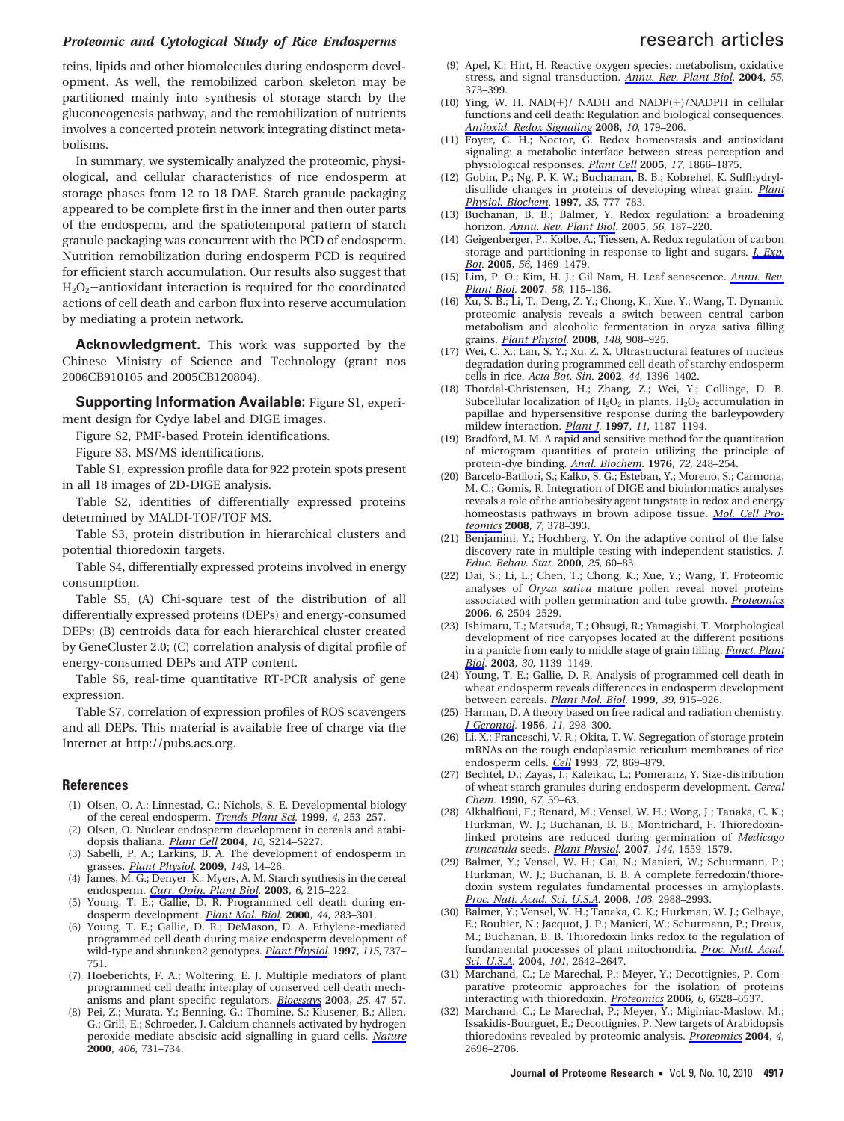## *Proteomic and Cytological Study of Rice Endosperms research articles*

teins, lipids and other biomolecules during endosperm development. As well, the remobilized carbon skeleton may be partitioned mainly into synthesis of storage starch by the gluconeogenesis pathway, and the remobilization of nutrients involves a concerted protein network integrating distinct metabolisms.

In summary, we systemically analyzed the proteomic, physiological, and cellular characteristics of rice endosperm at storage phases from 12 to 18 DAF. Starch granule packaging appeared to be complete first in the inner and then outer parts of the endosperm, and the spatiotemporal pattern of starch granule packaging was concurrent with the PCD of endosperm. Nutrition remobilization during endosperm PCD is required for efficient starch accumulation. Our results also suggest that  $H_2O_2$ -antioxidant interaction is required for the coordinated actions of cell death and carbon flux into reserve accumulation by mediating a protein network.

**Acknowledgment.** This work was supported by the Chinese Ministry of Science and Technology (grant nos 2006CB910105 and 2005CB120804).

**Supporting Information Available:** Figure S1, experiment design for Cydye label and DIGE images.

Figure S2, PMF-based Protein identifications.

Figure S3, MS/MS identifications.

Table S1, expression profile data for 922 protein spots present in all 18 images of 2D-DIGE analysis.

Table S2, identities of differentially expressed proteins determined by MALDI-TOF/TOF MS.

Table S3, protein distribution in hierarchical clusters and potential thioredoxin targets.

Table S4, differentially expressed proteins involved in energy consumption.

Table S5, (A) Chi-square test of the distribution of all differentially expressed proteins (DEPs) and energy-consumed DEPs; (B) centroids data for each hierarchical cluster created by GeneCluster 2.0; (C) correlation analysis of digital profile of energy-consumed DEPs and ATP content.

Table S6, real-time quantitative RT-PCR analysis of gene expression.

Table S7, correlation of expression profiles of ROS scavengers and all DEPs. This material is available free of charge via the Internet at http://pubs.acs.org.

#### **References**

- (1) Olsen, O. A.; Linnestad, C.; Nichols, S. E. Developmental biology of the cereal endosperm. *Trends Plant Sci.* **1999**, *4*, 253–257.
- Olsen, O. Nuclear endosperm development in cereals and arabidopsis thaliana. *Plant Cell* **2004**, *16*, S214–S227.
- (3) Sabelli, P. A.; Larkins, B. A. The development of endosperm in grasses. *Plant Physiol.* **2009**, *149*, 14–26.
- (4) James, M. G.; Denyer, K.; Myers, A. M. Starch synthesis in the cereal endosperm. *Curr. Opin. Plant Biol.* **2003**, *6*, 215–222.
- (5) Young, T. E.; Gallie, D. R. Programmed cell death during endosperm development. *Plant Mol. Biol.* **2000**, *44*, 283–301.
- Young, T. E.; Gallie, D. R.; DeMason, D. A. Ethylene-mediated programmed cell death during maize endosperm development of wild-type and shrunken2 genotypes. *Plant Physiol.* **1997**, *115*, 737– 751.
- (7) Hoeberichts, F. A.; Woltering, E. J. Multiple mediators of plant programmed cell death: interplay of conserved cell death mechanisms and plant-specific regulators. *Bioessays* **2003**, *25*, 47–57.
- Pei, Z.; Murata, Y.; Benning, G.; Thomine, S.; Klusener, B.; Allen, G.; Grill, E.; Schroeder, J. Calcium channels activated by hydrogen peroxide mediate abscisic acid signalling in guard cells. *Nature* **2000**, *406*, 731–734.
- (9) Apel, K.; Hirt, H. Reactive oxygen species: metabolism, oxidative stress, and signal transduction. *Annu. Rev. Plant Biol.* **2004**, *55*, 373–399.
- (10) Ying, W. H. NAD(+)/ NADH and NADP(+)/NADPH in cellular functions and cell death: Regulation and biological consequences. *Antioxid. Redox Signaling* **2008**, *10*, 179–206.
- (11) Foyer, C. H.; Noctor, G. Redox homeostasis and antioxidant signaling: a metabolic interface between stress perception and physiological responses. *Plant Cell* **2005**, *17*, 1866–1875.
- (12) Gobin, P.; Ng, P. K. W.; Buchanan, B. B.; Kobrehel, K. Sulfhydryldisulfide changes in proteins of developing wheat grain. *Plant Physiol. Biochem.* **1997**, *35*, 777–783.
- (13) Buchanan, B. B.; Balmer, Y. Redox regulation: a broadening horizon. *Annu. Rev. Plant Biol.* **2005**, *56*, 187–220.
- (14) Geigenberger, P.; Kolbe, A.; Tiessen, A. Redox regulation of carbon storage and partitioning in response to light and sugars. *J. Exp. Bot.* **2005**, *56*, 1469–1479.
- (15) Lim, P. O.; Kim, H. J.; Gil Nam, H. Leaf senescence. *Annu. Rev. Plant Biol.* **2007**, *58*, 115–136.
- (16) Xu, S. B.; Li, T.; Deng, Z. Y.; Chong, K.; Xue, Y.; Wang, T. Dynamic proteomic analysis reveals a switch between central carbon metabolism and alcoholic fermentation in oryza sativa filling grains. *Plant Physiol.* **2008**, *148*, 908–925.
- (17) Wei, C. X.; Lan, S. Y.; Xu, Z. X. Ultrastructural features of nucleus degradation during programmed cell death of starchy endosperm cells in rice. *Acta Bot. Sin.* **2002**, *44*, 1396–1402.
- (18) Thordal-Christensen, H.; Zhang, Z.; Wei, Y.; Collinge, D. B. Subcellular localization of  $H_2O_2$  in plants.  $H_2O_2$  accumulation in papillae and hypersensitive response during the barleypowdery mildew interaction. *Plant J.* **1997**, *11*, 1187–1194.
- (19) Bradford, M. M. A rapid and sensitive method for the quantitation of microgram quantities of protein utilizing the principle of protein-dye binding. *Anal. Biochem.* **1976**, *72*, 248–254.
- (20) Barcelo-Batllori, S.; Kalko, S. G.; Esteban, Y.; Moreno, S.; Carmona, M. C.; Gomis, R. Integration of DIGE and bioinformatics analyses reveals a role of the antiobesity agent tungstate in redox and energy homeostasis pathways in brown adipose tissue. *Mol. Cell Proteomics* **2008**, *7*, 378–393.
- (21) Benjamini, Y.; Hochberg, Y. On the adaptive control of the false discovery rate in multiple testing with independent statistics. *J. Educ. Behav. Stat.* **2000**, *25*, 60–83.
- (22) Dai, S.; Li, L.; Chen, T.; Chong, K.; Xue, Y.; Wang, T. Proteomic analyses of *Oryza sativa* mature pollen reveal novel proteins associated with pollen germination and tube growth. *Proteomics* **2006**, *6*, 2504–2529.
- (23) Ishimaru, T.; Matsuda, T.; Ohsugi, R.; Yamagishi, T. Morphological development of rice caryopses located at the different positions in a panicle from early to middle stage of grain filling. *Funct. Plant Biol.* **2003**, *30*, 1139–1149.
- (24) Young, T. E.; Gallie, D. R. Analysis of programmed cell death in wheat endosperm reveals differences in endosperm development between cereals. *Plant Mol. Biol.* **1999**, *39*, 915–926.
- (25) Harman, D. A theory based on free radical and radiation chemistry. *J Gerontol.* **1956**, *11*, 298–300.
- (26) Li, X.; Franceschi, V. R.; Okita, T. W. Segregation of storage protein mRNAs on the rough endoplasmic reticulum membranes of rice endosperm cells. *Cell* **1993**, *72*, 869–879.
- (27) Bechtel, D.; Zayas, I.; Kaleikau, L.; Pomeranz, Y. Size-distribution of wheat starch granules during endosperm development. *Cereal Chem.* **1990**, *67*, 59–63.
- (28) Alkhalfioui, F.; Renard, M.; Vensel, W. H.; Wong, J.; Tanaka, C. K.; Hurkman, W. J.; Buchanan, B. B.; Montrichard, F. Thioredoxinlinked proteins are reduced during germination of *Medicago truncatula* seeds. *Plant Physiol.* **2007**, *144*, 1559–1579.
- (29) Balmer, Y.; Vensel, W. H.; Cai, N.; Manieri, W.; Schurmann, P.; Hurkman, W. J.; Buchanan, B. B. A complete ferredoxin/thioredoxin system regulates fundamental processes in amyloplasts. *Proc. Natl. Acad. Sci. U.S.A.* **2006**, *103*, 2988–2993.
- (30) Balmer, Y.; Vensel, W. H.; Tanaka, C. K.; Hurkman, W. J.; Gelhaye, E.; Rouhier, N.; Jacquot, J. P.; Manieri, W.; Schurmann, P.; Droux, M.; Buchanan, B. B. Thioredoxin links redox to the regulation of fundamental processes of plant mitochondria. *Proc. Natl. Acad. Sci. U.S.A.* **2004**, *101*, 2642–2647.
- (31) Marchand, C.; Le Marechal, P.; Meyer, Y.; Decottignies, P. Comparative proteomic approaches for the isolation of proteins interacting with thioredoxin. *Proteomics* **2006**, *6*, 6528–6537.
- (32) Marchand, C.; Le Marechal, P.; Meyer, Y.; Miginiac-Maslow, M.; Issakidis-Bourguet, E.; Decottignies, P. New targets of Arabidopsis thioredoxins revealed by proteomic analysis. *Proteomics* **2004**, *4*, 2696–2706.